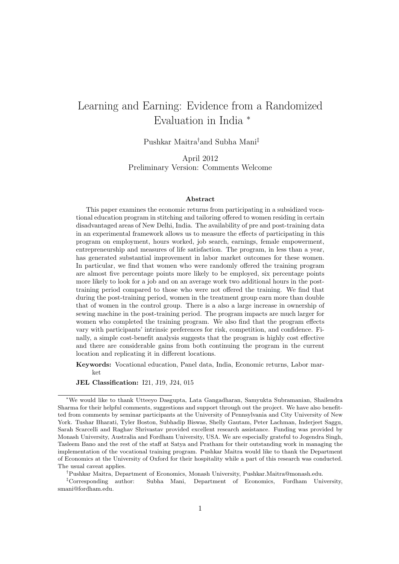# Learning and Earning: Evidence from a Randomized Evaluation in India <sup>∗</sup>

Pushkar Maitra†and Subha Mani‡

April 2012 Preliminary Version: Comments Welcome

#### Abstract

This paper examines the economic returns from participating in a subsidized vocational education program in stitching and tailoring offered to women residing in certain disadvantaged areas of New Delhi, India. The availability of pre and post-training data in an experimental framework allows us to measure the effects of participating in this program on employment, hours worked, job search, earnings, female empowerment, entrepreneurship and measures of life satisfaction. The program, in less than a year, has generated substantial improvement in labor market outcomes for these women. In particular, we find that women who were randomly offered the training program are almost five percentage points more likely to be employed, six percentage points more likely to look for a job and on an average work two additional hours in the posttraining period compared to those who were not offered the training. We find that during the post-training period, women in the treatment group earn more than double that of women in the control group. There is a also a large increase in ownership of sewing machine in the post-training period. The program impacts are much larger for women who completed the training program. We also find that the program effects vary with participants' intrinsic preferences for risk, competition, and confidence. Finally, a simple cost-benefit analysis suggests that the program is highly cost effective and there are considerable gains from both continuing the program in the current location and replicating it in different locations.

Keywords: Vocational education, Panel data, India, Economic returns, Labor market

JEL Classification: I21, J19, J24, 015

†Pushkar Maitra, Department of Economics, Monash University, Pushkar.Maitra@monash.edu.

‡Corresponding author: Subha Mani, Department of Economics, Fordham University, smani@fordham.edu.

<sup>∗</sup>We would like to thank Utteeyo Dasgupta, Lata Gangadharan, Samyukta Subramanian, Shailendra Sharma for their helpful comments, suggestions and support through out the project. We have also benefitted from comments by seminar participants at the University of Pennsylvania and City University of New York. Tushar Bharati, Tyler Boston, Subhadip Biswas, Shelly Gautam, Peter Lachman, Inderjeet Saggu, Sarah Scarcelli and Raghav Shrivastav provided excellent research assistance. Funding was provided by Monash University, Australia and Fordham University, USA. We are especially grateful to Jogendra Singh, Tasleem Bano and the rest of the staff at Satya and Pratham for their outstanding work in managing the implementation of the vocational training program. Pushkar Maitra would like to thank the Department of Economics at the University of Oxford for their hospitality while a part of this research was conducted. The usual caveat applies.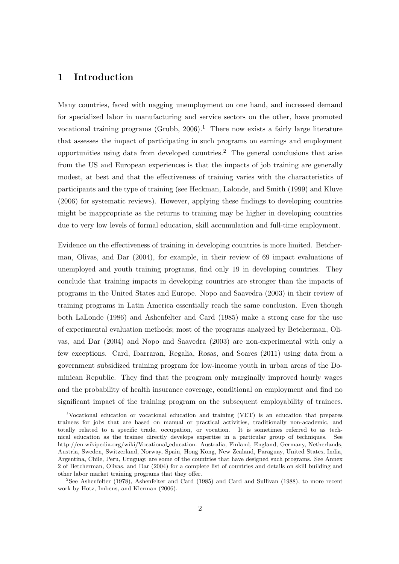## 1 Introduction

Many countries, faced with nagging unemployment on one hand, and increased demand for specialized labor in manufacturing and service sectors on the other, have promoted vocational training programs (Grubb,  $2006$ ).<sup>1</sup> There now exists a fairly large literature that assesses the impact of participating in such programs on earnings and employment opportunities using data from developed countries.<sup>2</sup> The general conclusions that arise from the US and European experiences is that the impacts of job training are generally modest, at best and that the effectiveness of training varies with the characteristics of participants and the type of training (see Heckman, Lalonde, and Smith (1999) and Kluve (2006) for systematic reviews). However, applying these findings to developing countries might be inappropriate as the returns to training may be higher in developing countries due to very low levels of formal education, skill accumulation and full-time employment.

Evidence on the effectiveness of training in developing countries is more limited. Betcherman, Olivas, and Dar (2004), for example, in their review of 69 impact evaluations of unemployed and youth training programs, find only 19 in developing countries. They conclude that training impacts in developing countries are stronger than the impacts of programs in the United States and Europe. Nopo and Saavedra (2003) in their review of training programs in Latin America essentially reach the same conclusion. Even though both LaLonde (1986) and Ashenfelter and Card (1985) make a strong case for the use of experimental evaluation methods; most of the programs analyzed by Betcherman, Olivas, and Dar (2004) and Nopo and Saavedra (2003) are non-experimental with only a few exceptions. Card, Ibarraran, Regalia, Rosas, and Soares (2011) using data from a government subsidized training program for low-income youth in urban areas of the Dominican Republic. They find that the program only marginally improved hourly wages and the probability of health insurance coverage, conditional on employment and find no significant impact of the training program on the subsequent employability of trainees.

<sup>1</sup>Vocational education or vocational education and training (VET) is an education that prepares trainees for jobs that are based on manual or practical activities, traditionally non-academic, and totally related to a specific trade, occupation, or vocation. It is sometimes referred to as technical education as the trainee directly develops expertise in a particular group of techniques. See http://en.wikipedia.org/wiki/Vocational education. Australia, Finland, England, Germany, Netherlands, Austria, Sweden, Switzerland, Norway, Spain, Hong Kong, New Zealand, Paraguay, United States, India, Argentina, Chile, Peru, Uruguay, are some of the countries that have designed such programs. See Annex 2 of Betcherman, Olivas, and Dar (2004) for a complete list of countries and details on skill building and other labor market training programs that they offer.

<sup>2</sup>See Ashenfelter (1978), Ashenfelter and Card (1985) and Card and Sullivan (1988), to more recent work by Hotz, Imbens, and Klerman (2006).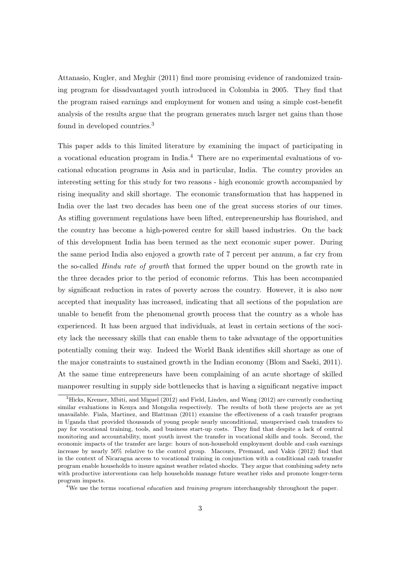Attanasio, Kugler, and Meghir (2011) find more promising evidence of randomized training program for disadvantaged youth introduced in Colombia in 2005. They find that the program raised earnings and employment for women and using a simple cost-benefit analysis of the results argue that the program generates much larger net gains than those found in developed countries.<sup>3</sup>

This paper adds to this limited literature by examining the impact of participating in a vocational education program in India.<sup>4</sup> There are no experimental evaluations of vocational education programs in Asia and in particular, India. The country provides an interesting setting for this study for two reasons - high economic growth accompanied by rising inequality and skill shortage. The economic transformation that has happened in India over the last two decades has been one of the great success stories of our times. As stifling government regulations have been lifted, entrepreneurship has flourished, and the country has become a high-powered centre for skill based industries. On the back of this development India has been termed as the next economic super power. During the same period India also enjoyed a growth rate of 7 percent per annum, a far cry from the so-called Hindu rate of growth that formed the upper bound on the growth rate in the three decades prior to the period of economic reforms. This has been accompanied by significant reduction in rates of poverty across the country. However, it is also now accepted that inequality has increased, indicating that all sections of the population are unable to benefit from the phenomenal growth process that the country as a whole has experienced. It has been argued that individuals, at least in certain sections of the society lack the necessary skills that can enable them to take advantage of the opportunities potentially coming their way. Indeed the World Bank identifies skill shortage as one of the major constraints to sustained growth in the Indian economy (Blom and Saeki, 2011). At the same time entrepreneurs have been complaining of an acute shortage of skilled manpower resulting in supply side bottlenecks that is having a significant negative impact

 ${}^{3}$ Hicks, Kremer, Mbiti, and Miguel (2012) and Field, Linden, and Wang (2012) are currently conducting similar evaluations in Kenya and Mongolia respectively. The results of both these projects are as yet unavailable. Fiala, Martinez, and Blattman (2011) examine the effectiveness of a cash transfer program in Uganda that provided thousands of young people nearly unconditional, unsupervised cash transfers to pay for vocational training, tools, and business start-up costs. They find that despite a lack of central monitoring and accountability, most youth invest the transfer in vocational skills and tools. Second, the economic impacts of the transfer are large: hours of non-household employment double and cash earnings increase by nearly 50% relative to the control group. Macours, Premand, and Vakis (2012) find that in the context of Nicaragua access to vocational training in conjunction with a conditional cash transfer program enable households to insure against weather related shocks. They argue that combining safety nets with productive interventions can help households manage future weather risks and promote longer-term program impacts.

 $4$ We use the terms vocational education and training program interchangeably throughout the paper.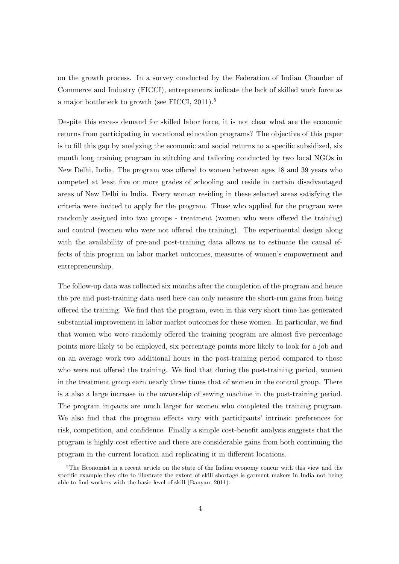on the growth process. In a survey conducted by the Federation of Indian Chamber of Commerce and Industry (FICCI), entrepreneurs indicate the lack of skilled work force as a major bottleneck to growth (see FICCI, 2011).<sup>5</sup>

Despite this excess demand for skilled labor force, it is not clear what are the economic returns from participating in vocational education programs? The objective of this paper is to fill this gap by analyzing the economic and social returns to a specific subsidized, six month long training program in stitching and tailoring conducted by two local NGOs in New Delhi, India. The program was offered to women between ages 18 and 39 years who competed at least five or more grades of schooling and reside in certain disadvantaged areas of New Delhi in India. Every woman residing in these selected areas satisfying the criteria were invited to apply for the program. Those who applied for the program were randomly assigned into two groups - treatment (women who were offered the training) and control (women who were not offered the training). The experimental design along with the availability of pre-and post-training data allows us to estimate the causal effects of this program on labor market outcomes, measures of women's empowerment and entrepreneurship.

The follow-up data was collected six months after the completion of the program and hence the pre and post-training data used here can only measure the short-run gains from being offered the training. We find that the program, even in this very short time has generated substantial improvement in labor market outcomes for these women. In particular, we find that women who were randomly offered the training program are almost five percentage points more likely to be employed, six percentage points more likely to look for a job and on an average work two additional hours in the post-training period compared to those who were not offered the training. We find that during the post-training period, women in the treatment group earn nearly three times that of women in the control group. There is a also a large increase in the ownership of sewing machine in the post-training period. The program impacts are much larger for women who completed the training program. We also find that the program effects vary with participants' intrinsic preferences for risk, competition, and confidence. Finally a simple cost-benefit analysis suggests that the program is highly cost effective and there are considerable gains from both continuing the program in the current location and replicating it in different locations.

<sup>&</sup>lt;sup>5</sup>The Economist in a recent article on the state of the Indian economy concur with this view and the specific example they cite to illustrate the extent of skill shortage is garment makers in India not being able to find workers with the basic level of skill (Banyan, 2011).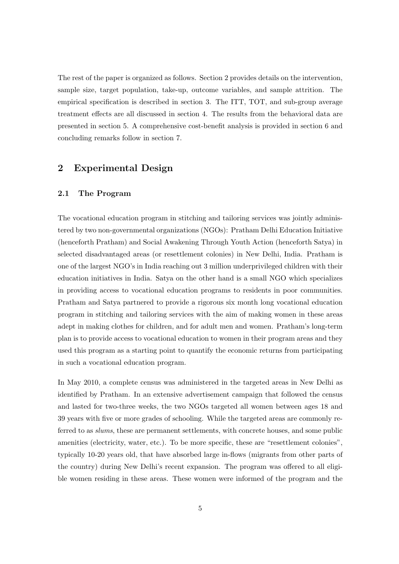The rest of the paper is organized as follows. Section 2 provides details on the intervention, sample size, target population, take-up, outcome variables, and sample attrition. The empirical specification is described in section 3. The ITT, TOT, and sub-group average treatment effects are all discussed in section 4. The results from the behavioral data are presented in section 5. A comprehensive cost-benefit analysis is provided in section 6 and concluding remarks follow in section 7.

### 2 Experimental Design

#### 2.1 The Program

The vocational education program in stitching and tailoring services was jointly administered by two non-governmental organizations (NGOs): Pratham Delhi Education Initiative (henceforth Pratham) and Social Awakening Through Youth Action (henceforth Satya) in selected disadvantaged areas (or resettlement colonies) in New Delhi, India. Pratham is one of the largest NGO's in India reaching out 3 million underprivileged children with their education initiatives in India. Satya on the other hand is a small NGO which specializes in providing access to vocational education programs to residents in poor communities. Pratham and Satya partnered to provide a rigorous six month long vocational education program in stitching and tailoring services with the aim of making women in these areas adept in making clothes for children, and for adult men and women. Pratham's long-term plan is to provide access to vocational education to women in their program areas and they used this program as a starting point to quantify the economic returns from participating in such a vocational education program.

In May 2010, a complete census was administered in the targeted areas in New Delhi as identified by Pratham. In an extensive advertisement campaign that followed the census and lasted for two-three weeks, the two NGOs targeted all women between ages 18 and 39 years with five or more grades of schooling. While the targeted areas are commonly referred to as slums, these are permanent settlements, with concrete houses, and some public amenities (electricity, water, etc.). To be more specific, these are "resettlement colonies", typically 10-20 years old, that have absorbed large in-flows (migrants from other parts of the country) during New Delhi's recent expansion. The program was offered to all eligible women residing in these areas. These women were informed of the program and the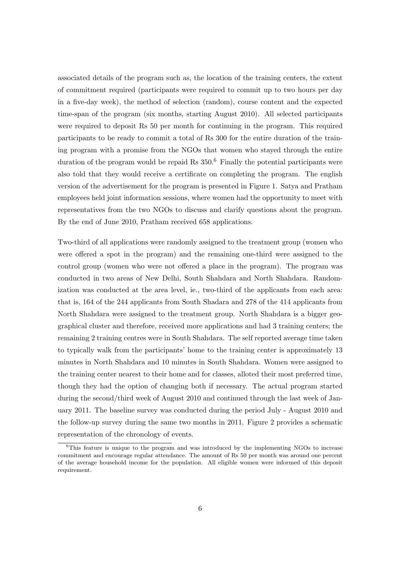associated details of the program such as, the location of the training centers, the extent of commitment required (participants were required to commit up to two hours per day in a five-day week), the method of selection (random), course content and the expected time-span of the program (six months, starting August 2010). All selected participants were required to deposit Rs 50 per month for continuing in the program. This required participants to be ready to commit a total of Rs 300 for the entire duration of the training program with a promise from the NGOs that women who stayed through the entire duration of the program would be repaid Rs  $350<sup>6</sup>$  Finally the potential participants were also told that they would receive a certificate on completing the program. The english version of the advertisement for the program is presented in Figure 1. Satya and Pratham employees held joint information sessions, where women had the opportunity to meet with representatives from the two NGOs to discuss and clarify questions about the program. By the end of June 2010, Pratham received 658 applications.

Two-third of all applications were randomly assigned to the treatment group (women who were offered a spot in the program) and the remaining one-third were assigned to the control group (women who were not offered a place in the program). The program was conducted in two areas of New Delhi, South Shahdara and North Shahdara. Randomization was conducted at the area level, ie., two-third of the applicants from each area: that is, 164 of the 244 applicants from South Shadara and 278 of the 414 applicants from North Shahdara were assigned to the treatment group. North Shahdara is a bigger geographical cluster and therefore, received more applications and had 3 training centers; the remaining 2 training centres were in South Shahdara. The self reported average time taken to typically walk from the participants' home to the training center is approximately 13 minutes in North Shahdara and 10 minutes in South Shahdara. Women were assigned to the training center nearest to their home and for classes, alloted their most preferred time, though they had the option of changing both if necessary. The actual program started during the second/third week of August 2010 and continued through the last week of January 2011. The baseline survey was conducted during the period July - August 2010 and the follow-up survey during the same two months in 2011. Figure 2 provides a schematic representation of the chronology of events.

 ${}^{6}$ This feature is unique to the program and was introduced by the implementing NGOs to increase commitment and encourage regular attendance. The amount of Rs 50 per month was around one percent of the average household income for the population. All eligible women were informed of this deposit requirement.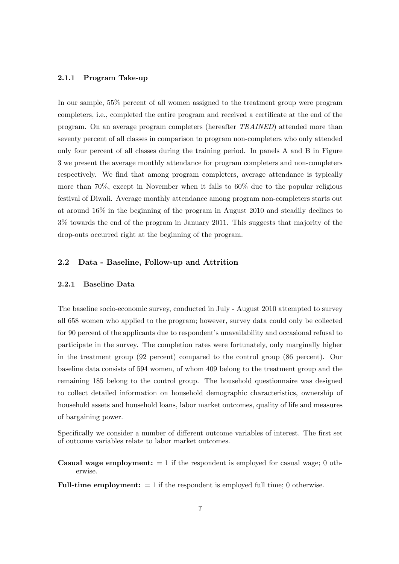#### 2.1.1 Program Take-up

In our sample, 55% percent of all women assigned to the treatment group were program completers, i.e., completed the entire program and received a certificate at the end of the program. On an average program completers (hereafter TRAINED) attended more than seventy percent of all classes in comparison to program non-completers who only attended only four percent of all classes during the training period. In panels A and B in Figure 3 we present the average monthly attendance for program completers and non-completers respectively. We find that among program completers, average attendance is typically more than 70%, except in November when it falls to 60% due to the popular religious festival of Diwali. Average monthly attendance among program non-completers starts out at around 16% in the beginning of the program in August 2010 and steadily declines to 3% towards the end of the program in January 2011. This suggests that majority of the drop-outs occurred right at the beginning of the program.

### 2.2 Data - Baseline, Follow-up and Attrition

#### 2.2.1 Baseline Data

The baseline socio-economic survey, conducted in July - August 2010 attempted to survey all 658 women who applied to the program; however, survey data could only be collected for 90 percent of the applicants due to respondent's unavailability and occasional refusal to participate in the survey. The completion rates were fortunately, only marginally higher in the treatment group (92 percent) compared to the control group (86 percent). Our baseline data consists of 594 women, of whom 409 belong to the treatment group and the remaining 185 belong to the control group. The household questionnaire was designed to collect detailed information on household demographic characteristics, ownership of household assets and household loans, labor market outcomes, quality of life and measures of bargaining power.

Specifically we consider a number of different outcome variables of interest. The first set of outcome variables relate to labor market outcomes.

- **Casual wage employment:**  $= 1$  if the respondent is employed for casual wage; 0 otherwise.
- **Full-time employment:**  $= 1$  if the respondent is employed full time; 0 otherwise.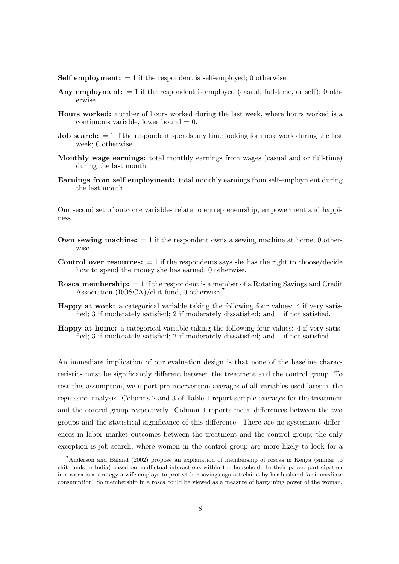**Self employment:**  $= 1$  if the respondent is self-employed; 0 otherwise.

- Any employment:  $= 1$  if the respondent is employed (casual, full-time, or self); 0 otherwise.
- Hours worked: number of hours worked during the last week, where hours worked is a continuous variable, lower bound  $= 0$ .
- **Job search:**  $= 1$  if the respondent spends any time looking for more work during the last week; 0 otherwise.
- Monthly wage earnings: total monthly earnings from wages (casual and or full-time) during the last month.
- Earnings from self employment: total monthly earnings from self-employment during the last month.

Our second set of outcome variables relate to entrepreneurship, empowerment and happiness.

- **Own sewing machine:**  $= 1$  if the respondent owns a sewing machine at home; 0 otherwise.
- **Control over resources:**  $= 1$  if the respondents says she has the right to choose/decide how to spend the money she has earned; 0 otherwise.
- **Rosca membership:**  $= 1$  if the respondent is a member of a Rotating Savings and Credit Association (ROSCA)/chit fund, 0 otherwise.<sup>7</sup>
- Happy at work: a categorical variable taking the following four values: 4 if very satisfied; 3 if moderately satisfied; 2 if moderately dissatisfied; and 1 if not satisfied.
- Happy at home: a categorical variable taking the following four values: 4 if very satisfied; 3 if moderately satisfied; 2 if moderately dissatisfied; and 1 if not satisfied.

An immediate implication of our evaluation design is that none of the baseline characteristics must be significantly different between the treatment and the control group. To test this assumption, we report pre-intervention averages of all variables used later in the regression analysis. Columns 2 and 3 of Table 1 report sample averages for the treatment and the control group respectively. Column 4 reports mean differences between the two groups and the statistical significance of this difference. There are no systematic differences in labor market outcomes between the treatment and the control group; the only exception is job search, where women in the control group are more likely to look for a

<sup>7</sup>Anderson and Baland (2002) propose an explanation of membership of roscas in Kenya (similar to chit funds in India) based on conflictual interactions within the household. In their paper, participation in a rosca is a strategy a wife employs to protect her savings against claims by her husband for immediate consumption. So membership in a rosca could be viewed as a measure of bargaining power of the woman.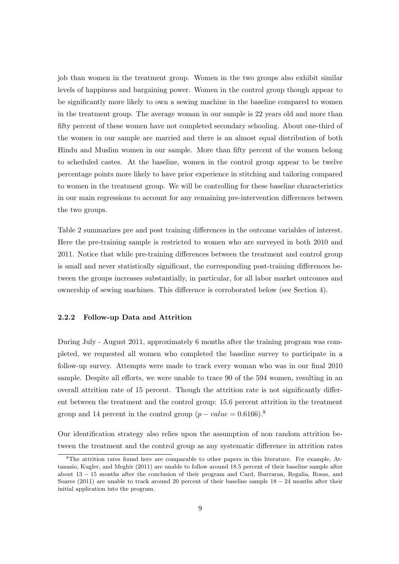job than women in the treatment group. Women in the two groups also exhibit similar levels of happiness and bargaining power. Women in the control group though appear to be significantly more likely to own a sewing machine in the baseline compared to women in the treatment group. The average woman in our sample is 22 years old and more than fifty percent of these women have not completed secondary schooling. About one-third of the women in our sample are married and there is an almost equal distribution of both Hindu and Muslim women in our sample. More than fifty percent of the women belong to scheduled castes. At the baseline, women in the control group appear to be twelve percentage points more likely to have prior experience in stitching and tailoring compared to women in the treatment group. We will be controlling for these baseline characteristics in our main regressions to account for any remaining pre-intervention differences between the two groups.

Table 2 summarizes pre and post training differences in the outcome variables of interest. Here the pre-training sample is restricted to women who are surveyed in both 2010 and 2011. Notice that while pre-training differences between the treatment and control group is small and never statistically significant, the corresponding post-training differences between the groups increases substantially, in particular, for all labor market outcomes and ownership of sewing machines. This difference is corroborated below (see Section 4).

#### 2.2.2 Follow-up Data and Attrition

During July - August 2011, approximately 6 months after the training program was completed, we requested all women who completed the baseline survey to participate in a follow-up survey. Attempts were made to track every woman who was in our final 2010 sample. Despite all efforts, we were unable to trace 90 of the 594 women, resulting in an overall attrition rate of 15 percent. Though the attrition rate is not significantly different between the treatment and the control group: 15.6 percent attrition in the treatment group and 14 percent in the control group  $(p-value = 0.6166)^8$ .

Our identification strategy also relies upon the assumption of non random attrition between the treatment and the control group as any systematic difference in attrition rates

<sup>8</sup>The attrition rates found here are comparable to other papers in this literature. For example, Attanasio, Kugler, and Meghir (2011) are unable to follow around 18.5 percent of their baseline sample after about 13 − 15 months after the conclusion of their program and Card, Ibarraran, Regalia, Rosas, and Soares (2011) are unable to track around 20 percent of their baseline sample  $18 - 24$  months after their initial application into the program.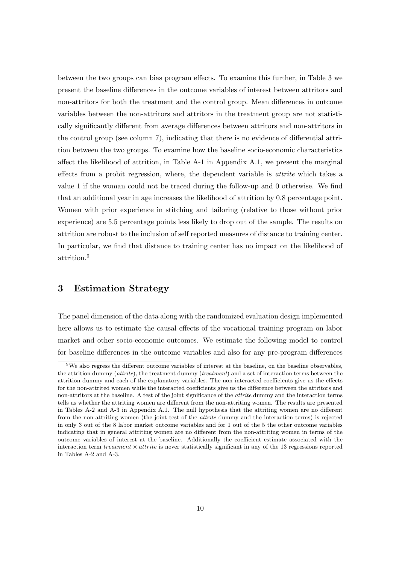between the two groups can bias program effects. To examine this further, in Table 3 we present the baseline differences in the outcome variables of interest between attritors and non-attritors for both the treatment and the control group. Mean differences in outcome variables between the non-attritors and attritors in the treatment group are not statistically significantly different from average differences between attritors and non-attritors in the control group (see column 7), indicating that there is no evidence of differential attrition between the two groups. To examine how the baseline socio-economic characteristics affect the likelihood of attrition, in Table A-1 in Appendix A.1, we present the marginal effects from a probit regression, where, the dependent variable is attrite which takes a value 1 if the woman could not be traced during the follow-up and 0 otherwise. We find that an additional year in age increases the likelihood of attrition by 0.8 percentage point. Women with prior experience in stitching and tailoring (relative to those without prior experience) are 5.5 percentage points less likely to drop out of the sample. The results on attrition are robust to the inclusion of self reported measures of distance to training center. In particular, we find that distance to training center has no impact on the likelihood of attrition.<sup>9</sup>

### 3 Estimation Strategy

The panel dimension of the data along with the randomized evaluation design implemented here allows us to estimate the causal effects of the vocational training program on labor market and other socio-economic outcomes. We estimate the following model to control for baseline differences in the outcome variables and also for any pre-program differences

 $9W$ e also regress the different outcome variables of interest at the baseline, on the baseline observables, the attrition dummy (attrite), the treatment dummy (treatment) and a set of interaction terms between the attrition dummy and each of the explanatory variables. The non-interacted coefficients give us the effects for the non-attrited women while the interacted coefficients give us the difference between the attritors and non-attritors at the baseline. A test of the joint significance of the attrite dummy and the interaction terms tells us whether the attriting women are different from the non-attriting women. The results are presented in Tables A-2 and A-3 in Appendix A.1. The null hypothesis that the attriting women are no different from the non-attriting women (the joint test of the attrite dummy and the interaction terms) is rejected in only 3 out of the 8 labor market outcome variables and for 1 out of the 5 the other outcome variables indicating that in general attriting women are no different from the non-attriting women in terms of the outcome variables of interest at the baseline. Additionally the coefficient estimate associated with the interaction term treatment  $\times$  attrite is never statistically significant in any of the 13 regressions reported in Tables A-2 and A-3.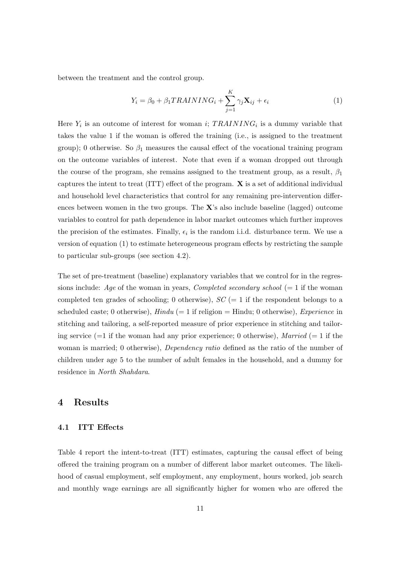between the treatment and the control group.

$$
Y_i = \beta_0 + \beta_1 TRAINING_i + \sum_{j=1}^{K} \gamma_j \mathbf{X}_{ij} + \epsilon_i
$$
\n(1)

Here  $Y_i$  is an outcome of interest for woman i;  $TRAINING_i$  is a dummy variable that takes the value 1 if the woman is offered the training (i.e., is assigned to the treatment group); 0 otherwise. So  $\beta_1$  measures the causal effect of the vocational training program on the outcome variables of interest. Note that even if a woman dropped out through the course of the program, she remains assigned to the treatment group, as a result,  $\beta_1$ captures the intent to treat (ITT) effect of the program. X is a set of additional individual and household level characteristics that control for any remaining pre-intervention differences between women in the two groups. The X's also include baseline (lagged) outcome variables to control for path dependence in labor market outcomes which further improves the precision of the estimates. Finally,  $\epsilon_i$  is the random i.i.d. disturbance term. We use a version of equation (1) to estimate heterogeneous program effects by restricting the sample to particular sub-groups (see section 4.2).

The set of pre-treatment (baseline) explanatory variables that we control for in the regressions include: Age of the woman in years, Completed secondary school  $(= 1$  if the woman completed ten grades of schooling; 0 otherwise),  $SC = 1$  if the respondent belongs to a scheduled caste; 0 otherwise),  $Hindu (= 1$  if religion = Hindu; 0 otherwise), *Experience* in stitching and tailoring, a self-reported measure of prior experience in stitching and tailoring service  $(=1)$  if the woman had any prior experience; 0 otherwise), *Married*  $(=1)$  if the woman is married; 0 otherwise), *Dependency ratio* defined as the ratio of the number of children under age 5 to the number of adult females in the household, and a dummy for residence in North Shahdara.

### 4 Results

### 4.1 ITT Effects

Table 4 report the intent-to-treat (ITT) estimates, capturing the causal effect of being offered the training program on a number of different labor market outcomes. The likelihood of casual employment, self employment, any employment, hours worked, job search and monthly wage earnings are all significantly higher for women who are offered the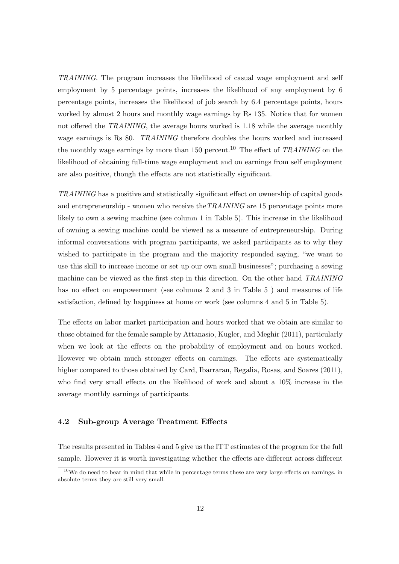TRAINING. The program increases the likelihood of casual wage employment and self employment by 5 percentage points, increases the likelihood of any employment by 6 percentage points, increases the likelihood of job search by 6.4 percentage points, hours worked by almost 2 hours and monthly wage earnings by Rs 135. Notice that for women not offered the TRAINING, the average hours worked is 1.18 while the average monthly wage earnings is Rs 80. TRAINING therefore doubles the hours worked and increased the monthly wage earnings by more than 150 percent.<sup>10</sup> The effect of TRAINING on the likelihood of obtaining full-time wage employment and on earnings from self employment are also positive, though the effects are not statistically significant.

TRAINING has a positive and statistically significant effect on ownership of capital goods and entrepreneurship - women who receive the TRAINING are 15 percentage points more likely to own a sewing machine (see column 1 in Table 5). This increase in the likelihood of owning a sewing machine could be viewed as a measure of entrepreneurship. During informal conversations with program participants, we asked participants as to why they wished to participate in the program and the majority responded saying, "we want to use this skill to increase income or set up our own small businesses"; purchasing a sewing machine can be viewed as the first step in this direction. On the other hand TRAINING has no effect on empowerment (see columns 2 and 3 in Table 5 ) and measures of life satisfaction, defined by happiness at home or work (see columns 4 and 5 in Table 5).

The effects on labor market participation and hours worked that we obtain are similar to those obtained for the female sample by Attanasio, Kugler, and Meghir (2011), particularly when we look at the effects on the probability of employment and on hours worked. However we obtain much stronger effects on earnings. The effects are systematically higher compared to those obtained by Card, Ibarraran, Regalia, Rosas, and Soares (2011), who find very small effects on the likelihood of work and about a 10% increase in the average monthly earnings of participants.

### 4.2 Sub-group Average Treatment Effects

The results presented in Tables 4 and 5 give us the ITT estimates of the program for the full sample. However it is worth investigating whether the effects are different across different

 $10$ We do need to bear in mind that while in percentage terms these are very large effects on earnings, in absolute terms they are still very small.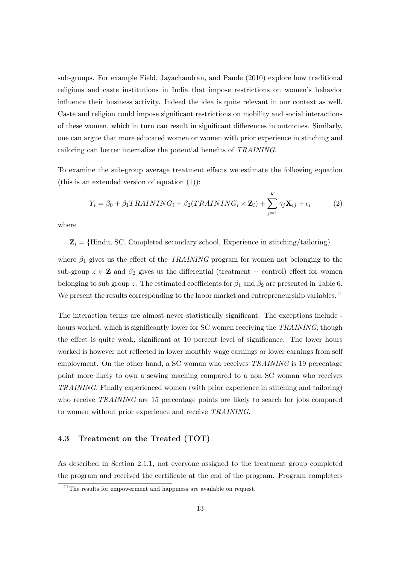sub-groups. For example Field, Jayachandran, and Pande (2010) explore how traditional religious and caste institutions in India that impose restrictions on women's behavior influence their business activity. Indeed the idea is quite relevant in our context as well. Caste and religion could impose significant restrictions on mobility and social interactions of these women, which in turn can result in significant differences in outcomes. Similarly, one can argue that more educated women or women with prior experience in stitching and tailoring can better internalize the potential benefits of TRAINING.

To examine the sub-group average treatment effects we estimate the following equation (this is an extended version of equation  $(1)$ ):

$$
Y_i = \beta_0 + \beta_1 TRAINING_i + \beta_2 (TRAINING_i \times \mathbf{Z}_i) + \sum_{j=1}^{K} \gamma_j \mathbf{X}_{ij} + \epsilon_i
$$
 (2)

where

 $\mathbf{Z}_i = \{ \text{Hindu, SC}, \text{Complete} \text{ secondary school}, \text{Experience in stretching/tailoring} \}$ 

where  $\beta_1$  gives us the effect of the TRAINING program for women not belonging to the sub-group  $z \in \mathbf{Z}$  and  $\beta_2$  gives us the differential (treatment – control) effect for women belonging to sub group z. The estimated coefficients for  $\beta_1$  and  $\beta_2$  are presented in Table 6. We present the results corresponding to the labor market and entrepreneurship variables.<sup>11</sup>

The interaction terms are almost never statistically significant. The exceptions include hours worked, which is significantly lower for SC women receiving the TRAINING; though the effect is quite weak, significant at 10 percent level of significance. The lower hours worked is however not reflected in lower monthly wage earnings or lower earnings from self employment. On the other hand, a SC woman who receives TRAINING is 19 percentage point more likely to own a sewing maching compared to a non SC woman who receives TRAINING. Finally experienced women (with prior experience in stitching and tailoring) who receive TRAINING are 15 percentage points ore likely to search for jobs compared to women without prior experience and receive TRAINING.

#### 4.3 Treatment on the Treated (TOT)

As described in Section 2.1.1, not everyone assigned to the treatment group completed the program and received the certificate at the end of the program. Program completers

 $11$ The results for empowerment and happiness are available on request.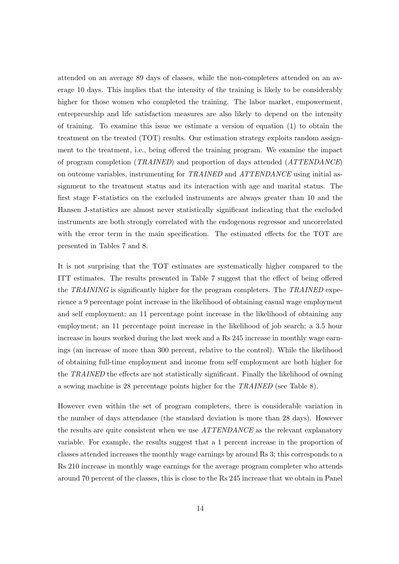attended on an average 89 days of classes, while the non-completers attended on an average 10 days. This implies that the intensity of the training is likely to be considerably higher for those women who completed the training. The labor market, empowerment, entrepreurship and life satisfaction measures are also likely to depend on the intensity of training. To examine this issue we estimate a version of equation (1) to obtain the treatment on the treated (TOT) results. Our estimation strategy exploits random assignment to the treatment, i.e., being offered the training program. We examine the impact of program completion (TRAINED) and proportion of days attended (ATTENDANCE) on outcome variables, instrumenting for TRAINED and ATTENDANCE using initial assignment to the treatment status and its interaction with age and marital status. The first stage F-statistics on the excluded instruments are always greater than 10 and the Hansen J-statistics are almost never statistically significant indicating that the excluded instruments are both strongly correlated with the endogenous regressor and uncorrelated with the error term in the main specification. The estimated effects for the TOT are presented in Tables 7 and 8.

It is not surprising that the TOT estimates are systematically higher compared to the ITT estimates. The results presented in Table 7 suggest that the effect of being offered the TRAINING is significantly higher for the program completers. The TRAINED experience a 9 percentage point increase in the likelihood of obtaining casual wage employment and self employment; an 11 percentage point increase in the likelihood of obtaining any employment; an 11 percentage point increase in the likelihood of job search; a 3.5 hour increase in hours worked during the last week and a Rs 245 increase in monthly wage earnings (an increase of more than 300 percent, relative to the control). While the likelihood of obtaining full-time employment and income from self employment are both higher for the TRAINED the effects are not statistically significant. Finally the likelihood of owning a sewing machine is 28 percentage points higher for the TRAINED (see Table 8).

However even within the set of program completers, there is considerable variation in the number of days attendance (the standard deviation is more than 28 days). However the results are quite consistent when we use ATTENDANCE as the relevant explanatory variable. For example, the results suggest that a 1 percent increase in the proportion of classes attended increases the monthly wage earnings by around Rs 3; this corresponds to a Rs 210 increase in monthly wage earnings for the average program completer who attends around 70 percent of the classes, this is close to the Rs 245 increase that we obtain in Panel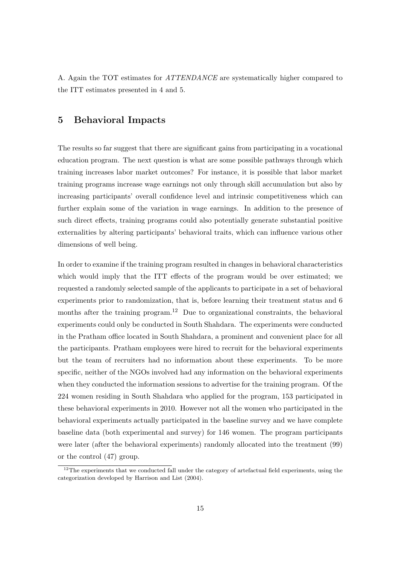A. Again the TOT estimates for ATTENDANCE are systematically higher compared to the ITT estimates presented in 4 and 5.

## 5 Behavioral Impacts

The results so far suggest that there are significant gains from participating in a vocational education program. The next question is what are some possible pathways through which training increases labor market outcomes? For instance, it is possible that labor market training programs increase wage earnings not only through skill accumulation but also by increasing participants' overall confidence level and intrinsic competitiveness which can further explain some of the variation in wage earnings. In addition to the presence of such direct effects, training programs could also potentially generate substantial positive externalities by altering participants' behavioral traits, which can influence various other dimensions of well being.

In order to examine if the training program resulted in changes in behavioral characteristics which would imply that the ITT effects of the program would be over estimated; we requested a randomly selected sample of the applicants to participate in a set of behavioral experiments prior to randomization, that is, before learning their treatment status and 6 months after the training program.<sup>12</sup> Due to organizational constraints, the behavioral experiments could only be conducted in South Shahdara. The experiments were conducted in the Pratham office located in South Shahdara, a prominent and convenient place for all the participants. Pratham employees were hired to recruit for the behavioral experiments but the team of recruiters had no information about these experiments. To be more specific, neither of the NGOs involved had any information on the behavioral experiments when they conducted the information sessions to advertise for the training program. Of the 224 women residing in South Shahdara who applied for the program, 153 participated in these behavioral experiments in 2010. However not all the women who participated in the behavioral experiments actually participated in the baseline survey and we have complete baseline data (both experimental and survey) for 146 women. The program participants were later (after the behavioral experiments) randomly allocated into the treatment (99) or the control (47) group.

 $12$ The experiments that we conducted fall under the category of artefactual field experiments, using the categorization developed by Harrison and List (2004).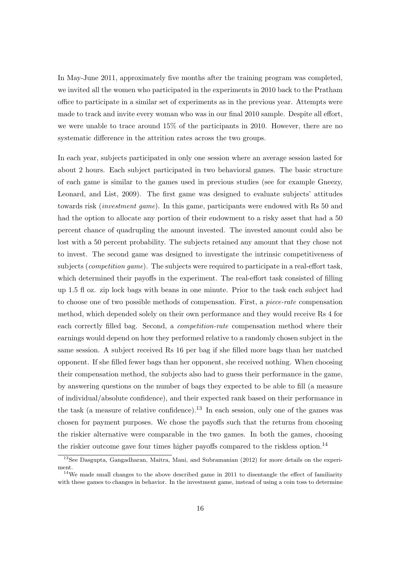In May-June 2011, approximately five months after the training program was completed, we invited all the women who participated in the experiments in 2010 back to the Pratham office to participate in a similar set of experiments as in the previous year. Attempts were made to track and invite every woman who was in our final 2010 sample. Despite all effort, we were unable to trace around 15% of the participants in 2010. However, there are no systematic difference in the attrition rates across the two groups.

In each year, subjects participated in only one session where an average session lasted for about 2 hours. Each subject participated in two behavioral games. The basic structure of each game is similar to the games used in previous studies (see for example Gneezy, Leonard, and List, 2009). The first game was designed to evaluate subjects' attitudes towards risk (investment game). In this game, participants were endowed with Rs 50 and had the option to allocate any portion of their endowment to a risky asset that had a 50 percent chance of quadrupling the amount invested. The invested amount could also be lost with a 50 percent probability. The subjects retained any amount that they chose not to invest. The second game was designed to investigate the intrinsic competitiveness of subjects (*competition game*). The subjects were required to participate in a real-effort task, which determined their payoffs in the experiment. The real-effort task consisted of filling up 1.5 fl oz. zip lock bags with beans in one minute. Prior to the task each subject had to choose one of two possible methods of compensation. First, a piece-rate compensation method, which depended solely on their own performance and they would receive Rs 4 for each correctly filled bag. Second, a *competition-rate* compensation method where their earnings would depend on how they performed relative to a randomly chosen subject in the same session. A subject received Rs 16 per bag if she filled more bags than her matched opponent. If she filled fewer bags than her opponent, she received nothing. When choosing their compensation method, the subjects also had to guess their performance in the game, by answering questions on the number of bags they expected to be able to fill (a measure of individual/absolute confidence), and their expected rank based on their performance in the task (a measure of relative confidence).<sup>13</sup> In each session, only one of the games was chosen for payment purposes. We chose the payoffs such that the returns from choosing the riskier alternative were comparable in the two games. In both the games, choosing the riskier outcome gave four times higher payoffs compared to the riskless option.<sup>14</sup>

<sup>13</sup>See Dasgupta, Gangadharan, Maitra, Mani, and Subramanian (2012) for more details on the experiment.

 $14$ We made small changes to the above described game in 2011 to disentangle the effect of familiarity with these games to changes in behavior. In the investment game, instead of using a coin toss to determine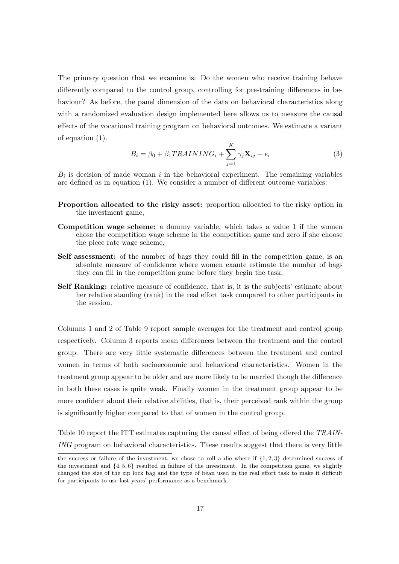The primary question that we examine is: Do the women who receive training behave differently compared to the control group, controlling for pre-training differences in behaviour? As before, the panel dimension of the data on behavioral characteristics along with a randomized evaluation design implemented here allows us to measure the causal effects of the vocational training program on behavioral outcomes. We estimate a variant of equation (1).

$$
B_i = \beta_0 + \beta_1 TRAINING_i + \sum_{j=1}^{K} \gamma_j \mathbf{X}_{ij} + \epsilon_i
$$
\n(3)

 $B_i$  is decision of made woman i in the behavioral experiment. The remaining variables are defined as in equation (1). We consider a number of different outcome variables:

- Proportion allocated to the risky asset: proportion allocated to the risky option in the investment game,
- Competition wage scheme: a dummy variable, which takes a value 1 if the women chose the competition wage scheme in the competition game and zero if she choose the piece rate wage scheme,
- Self assessment: of the number of bags they could fill in the competition game, is an absolute measure of confidence where women exante estimate the number of bags they can fill in the competition game before they begin the task,
- Self Ranking: relative measure of confidence, that is, it is the subjects' estimate about her relative standing (rank) in the real effort task compared to other participants in the session.

Columns 1 and 2 of Table 9 report sample averages for the treatment and control group respectively. Column 3 reports mean differences between the treatment and the control group. There are very little systematic differences between the treatment and control women in terms of both socioeconomic and behavioral characteristics. Women in the treatment group appear to be older and are more likely to be married though the difference in both these cases is quite weak. Finally women in the treatment group appear to be more confident about their relative abilities, that is, their perceived rank within the group is significantly higher compared to that of women in the control group.

Table 10 report the ITT estimates capturing the causal effect of being offered the TRAIN-ING program on behavioral characteristics. These results suggest that there is very little

the success or failure of the investment, we chose to roll a die where if {1, 2, 3} determined success of the investment and  $\{4, 5, 6\}$  resulted in failure of the investment. In the competition game, we slightly changed the size of the zip lock bag and the type of bean used in the real effort task to make it difficult for participants to use last years' performance as a benchmark.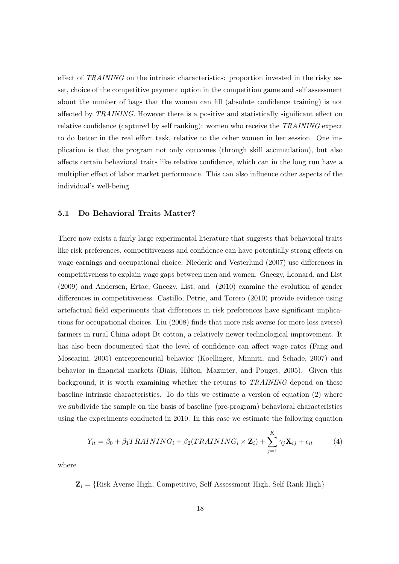effect of TRAINING on the intrinsic characteristics: proportion invested in the risky asset, choice of the competitive payment option in the competition game and self assessment about the number of bags that the woman can fill (absolute confidence training) is not affected by TRAINING. However there is a positive and statistically significant effect on relative confidence (captured by self ranking): women who receive the TRAINING expect to do better in the real effort task, relative to the other women in her session. One implication is that the program not only outcomes (through skill accumulation), but also affects certain behavioral traits like relative confidence, which can in the long run have a multiplier effect of labor market performance. This can also influence other aspects of the individual's well-being.

#### 5.1 Do Behavioral Traits Matter?

There now exists a fairly large experimental literature that suggests that behavioral traits like risk preferences, competitiveness and confidence can have potentially strong effects on wage earnings and occupational choice. Niederle and Vesterlund (2007) use differences in competitiveness to explain wage gaps between men and women. Gneezy, Leonard, and List (2009) and Andersen, Ertac, Gneezy, List, and (2010) examine the evolution of gender differences in competitiveness. Castillo, Petrie, and Torero (2010) provide evidence using artefactual field experiments that differences in risk preferences have significant implications for occupational choices. Liu (2008) finds that more risk averse (or more loss averse) farmers in rural China adopt Bt cotton, a relatively newer technological improvement. It has also been documented that the level of confidence can affect wage rates (Fang and Moscarini, 2005) entrepreneurial behavior (Koellinger, Minniti, and Schade, 2007) and behavior in financial markets (Biais, Hilton, Mazurier, and Pouget, 2005). Given this background, it is worth examining whether the returns to TRAINING depend on these baseline intrinsic characteristics. To do this we estimate a version of equation (2) where we subdivide the sample on the basis of baseline (pre-program) behavioral characteristics using the experiments conducted in 2010. In this case we estimate the following equation

$$
Y_{it} = \beta_0 + \beta_1 TRAINING_i + \beta_2 (TRAINING_i \times \mathbf{Z}_i) + \sum_{j=1}^{K} \gamma_j \mathbf{X}_{ij} + \epsilon_{it}
$$
(4)

where

 $\mathbf{Z}_i = \{Risk \text{ Averse High}, \text{ Competitive}, \text{Self Assessment High}, \text{Self Rank High}\}$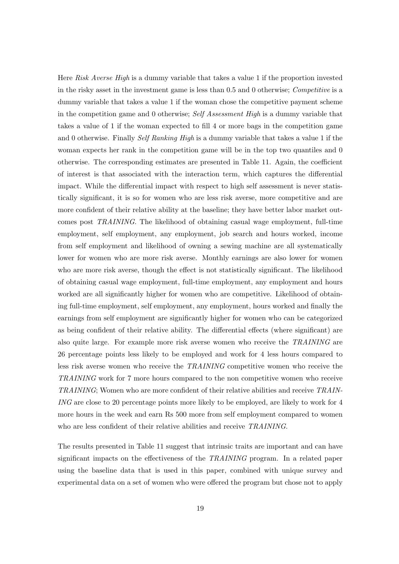Here Risk Averse High is a dummy variable that takes a value 1 if the proportion invested in the risky asset in the investment game is less than 0.5 and 0 otherwise; Competitive is a dummy variable that takes a value 1 if the woman chose the competitive payment scheme in the competition game and 0 otherwise; Self Assessment High is a dummy variable that takes a value of 1 if the woman expected to fill 4 or more bags in the competition game and 0 otherwise. Finally Self Ranking High is a dummy variable that takes a value 1 if the woman expects her rank in the competition game will be in the top two quantiles and 0 otherwise. The corresponding estimates are presented in Table 11. Again, the coefficient of interest is that associated with the interaction term, which captures the differential impact. While the differential impact with respect to high self assessment is never statistically significant, it is so for women who are less risk averse, more competitive and are more confident of their relative ability at the baseline; they have better labor market outcomes post TRAINING. The likelihood of obtaining casual wage employment, full-time employment, self employment, any employment, job search and hours worked, income from self employment and likelihood of owning a sewing machine are all systematically lower for women who are more risk averse. Monthly earnings are also lower for women who are more risk averse, though the effect is not statistically significant. The likelihood of obtaining casual wage employment, full-time employment, any employment and hours worked are all significantly higher for women who are competitive. Likelihood of obtaining full-time employment, self employment, any employment, hours worked and finally the earnings from self employment are significantly higher for women who can be categorized as being confident of their relative ability. The differential effects (where significant) are also quite large. For example more risk averse women who receive the TRAINING are 26 percentage points less likely to be employed and work for 4 less hours compared to less risk averse women who receive the TRAINING competitive women who receive the TRAINING work for 7 more hours compared to the non competitive women who receive TRAINING; Women who are more confident of their relative abilities and receive TRAIN-ING are close to 20 percentage points more likely to be employed, are likely to work for 4 more hours in the week and earn Rs 500 more from self employment compared to women who are less confident of their relative abilities and receive TRAINING.

The results presented in Table 11 suggest that intrinsic traits are important and can have significant impacts on the effectiveness of the TRAINING program. In a related paper using the baseline data that is used in this paper, combined with unique survey and experimental data on a set of women who were offered the program but chose not to apply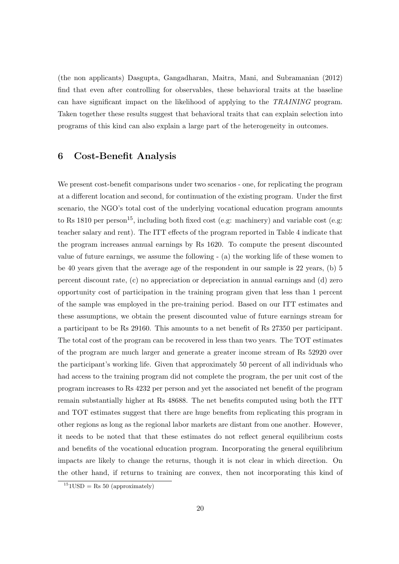(the non applicants) Dasgupta, Gangadharan, Maitra, Mani, and Subramanian (2012) find that even after controlling for observables, these behavioral traits at the baseline can have significant impact on the likelihood of applying to the TRAINING program. Taken together these results suggest that behavioral traits that can explain selection into programs of this kind can also explain a large part of the heterogeneity in outcomes.

## 6 Cost-Benefit Analysis

We present cost-benefit comparisons under two scenarios - one, for replicating the program at a different location and second, for continuation of the existing program. Under the first scenario, the NGO's total cost of the underlying vocational education program amounts to Rs 1810 per person<sup>15</sup>, including both fixed cost (e.g: machinery) and variable cost (e.g: teacher salary and rent). The ITT effects of the program reported in Table 4 indicate that the program increases annual earnings by Rs 1620. To compute the present discounted value of future earnings, we assume the following - (a) the working life of these women to be 40 years given that the average age of the respondent in our sample is 22 years, (b) 5 percent discount rate, (c) no appreciation or depreciation in annual earnings and (d) zero opportunity cost of participation in the training program given that less than 1 percent of the sample was employed in the pre-training period. Based on our ITT estimates and these assumptions, we obtain the present discounted value of future earnings stream for a participant to be Rs 29160. This amounts to a net benefit of Rs 27350 per participant. The total cost of the program can be recovered in less than two years. The TOT estimates of the program are much larger and generate a greater income stream of Rs 52920 over the participant's working life. Given that approximately 50 percent of all individuals who had access to the training program did not complete the program, the per unit cost of the program increases to Rs 4232 per person and yet the associated net benefit of the program remain substantially higher at Rs 48688. The net benefits computed using both the ITT and TOT estimates suggest that there are huge benefits from replicating this program in other regions as long as the regional labor markets are distant from one another. However, it needs to be noted that that these estimates do not reflect general equilibrium costs and benefits of the vocational education program. Incorporating the general equilibrium impacts are likely to change the returns, though it is not clear in which direction. On the other hand, if returns to training are convex, then not incorporating this kind of

 $151$ USD = Rs 50 (approximately)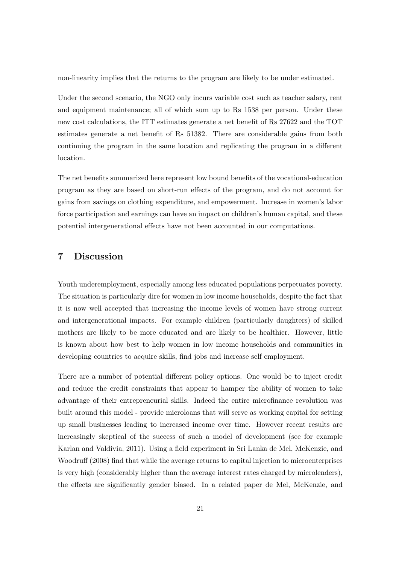non-linearity implies that the returns to the program are likely to be under estimated.

Under the second scenario, the NGO only incurs variable cost such as teacher salary, rent and equipment maintenance; all of which sum up to Rs 1538 per person. Under these new cost calculations, the ITT estimates generate a net benefit of Rs 27622 and the TOT estimates generate a net benefit of Rs 51382. There are considerable gains from both continuing the program in the same location and replicating the program in a different location.

The net benefits summarized here represent low bound benefits of the vocational-education program as they are based on short-run effects of the program, and do not account for gains from savings on clothing expenditure, and empowerment. Increase in women's labor force participation and earnings can have an impact on children's human capital, and these potential intergenerational effects have not been accounted in our computations.

## 7 Discussion

Youth underemployment, especially among less educated populations perpetuates poverty. The situation is particularly dire for women in low income households, despite the fact that it is now well accepted that increasing the income levels of women have strong current and intergenerational impacts. For example children (particularly daughters) of skilled mothers are likely to be more educated and are likely to be healthier. However, little is known about how best to help women in low income households and communities in developing countries to acquire skills, find jobs and increase self employment.

There are a number of potential different policy options. One would be to inject credit and reduce the credit constraints that appear to hamper the ability of women to take advantage of their entrepreneurial skills. Indeed the entire microfinance revolution was built around this model - provide microloans that will serve as working capital for setting up small businesses leading to increased income over time. However recent results are increasingly skeptical of the success of such a model of development (see for example Karlan and Valdivia, 2011). Using a field experiment in Sri Lanka de Mel, McKenzie, and Woodruff (2008) find that while the average returns to capital injection to microenterprises is very high (considerably higher than the average interest rates charged by microlenders), the effects are significantly gender biased. In a related paper de Mel, McKenzie, and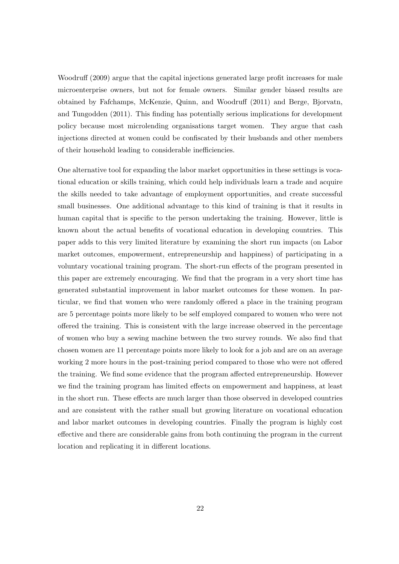Woodruff (2009) argue that the capital injections generated large profit increases for male microenterprise owners, but not for female owners. Similar gender biased results are obtained by Fafchamps, McKenzie, Quinn, and Woodruff (2011) and Berge, Bjorvatn, and Tungodden (2011). This finding has potentially serious implications for development policy because most microlending organisations target women. They argue that cash injections directed at women could be confiscated by their husbands and other members of their household leading to considerable inefficiencies.

One alternative tool for expanding the labor market opportunities in these settings is vocational education or skills training, which could help individuals learn a trade and acquire the skills needed to take advantage of employment opportunities, and create successful small businesses. One additional advantage to this kind of training is that it results in human capital that is specific to the person undertaking the training. However, little is known about the actual benefits of vocational education in developing countries. This paper adds to this very limited literature by examining the short run impacts (on Labor market outcomes, empowerment, entrepreneurship and happiness) of participating in a voluntary vocational training program. The short-run effects of the program presented in this paper are extremely encouraging. We find that the program in a very short time has generated substantial improvement in labor market outcomes for these women. In particular, we find that women who were randomly offered a place in the training program are 5 percentage points more likely to be self employed compared to women who were not offered the training. This is consistent with the large increase observed in the percentage of women who buy a sewing machine between the two survey rounds. We also find that chosen women are 11 percentage points more likely to look for a job and are on an average working 2 more hours in the post-training period compared to those who were not offered the training. We find some evidence that the program affected entrepreneurship. However we find the training program has limited effects on empowerment and happiness, at least in the short run. These effects are much larger than those observed in developed countries and are consistent with the rather small but growing literature on vocational education and labor market outcomes in developing countries. Finally the program is highly cost effective and there are considerable gains from both continuing the program in the current location and replicating it in different locations.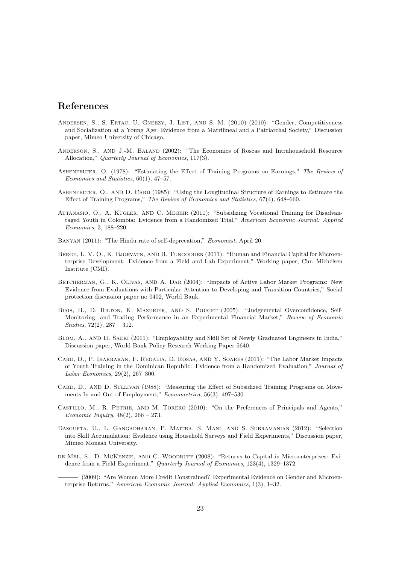## References

- Andersen, S., S. Ertac, U. Gneezy, J. List, and S. M. (2010) (2010): "Gender, Competitiveness and Socialization at a Young Age: Evidence from a Matrilineal and a Patriarchal Society," Discussion paper, Mimeo University of Chicago.
- Anderson, S., and J.-M. Baland (2002): "The Economics of Roscas and Intrahousehold Resource Allocation," Quarterly Journal of Economics, 117(3).
- Ashenfelter, O. (1978): "Estimating the Effect of Training Programs on Earnings," The Review of Economics and Statistics, 60(1), 47–57.
- ASHENFELTER, O., AND D. CARD (1985): "Using the Longitudinal Structure of Earnings to Estimate the Effect of Training Programs," The Review of Economics and Statistics, 67(4), 648–660.
- Attanasio, O., A. Kugler, and C. Meghir (2011): "Subsidizing Vocational Training for Disadvantaged Youth in Colombia: Evidence from a Randomized Trial," American Economic Journal: Applied Economics, 3, 188–220.
- Banyan (2011): "The Hindu rate of self-deprecation," Economist, April 20.
- BERGE, L. V. O., K. BJORVATN, AND B. TUNGODDEN (2011): "Human and Financial Capital for Microenterprise Development: Evidence from a Field and Lab Experiment," Working paper, Chr. Michelsen Institute (CMI).
- Betcherman, G., K. Olivas, and A. Dar (2004): "Impacts of Active Labor Market Programs: New Evidence from Evaluations with Particular Attention to Developing and Transition Countries," Social protection discussion paper no 0402, World Bank.
- BIAIS, B., D. HILTON, K. MAZURIER, AND S. POUGET (2005): "Judgemental Overconfidence, Self-Monitoring, and Trading Performance in an Experimental Financial Market," Review of Economic Studies, 72(2), 287 – 312.
- BLOM, A., AND H. SAEKI (2011): "Employability and Skill Set of Newly Graduated Engineers in India," Discussion paper, World Bank Policy Research Working Paper 5640.
- Card, D., P. Ibarraran, F. Regalia, D. Rosas, and Y. Soares (2011): "The Labor Market Impacts of Youth Training in the Dominican Republic: Evidence from a Randomized Evaluation," Journal of Labor Economics, 29(2), 267–300.
- CARD, D., AND D. SULLIVAN (1988): "Measuring the Effect of Subsidized Training Programs on Movements In and Out of Employment," Econometrica, 56(3), 497–530.
- Castillo, M., R. Petrie, and M. Torero (2010): "On the Preferences of Principals and Agents," Economic Inquiry, 48(2), 266 – 273.
- Dasgupta, U., L. Gangadharan, P. Maitra, S. Mani, and S. Subramanian (2012): "Selection into Skill Accumulation: Evidence using Household Surveys and Field Experiments," Discussion paper, Mimeo Monash University.
- de Mel, S., D. McKenzie, and C. Woodruff (2008): "Returns to Capital in Microenterprises: Evidence from a Field Experiment," Quarterly Journal of Economics, 123(4), 1329–1372.

(2009): "Are Women More Credit Constrained? Experimental Evidence on Gender and Microenterprise Returns," American Economic Journal: Applied Economics, 1(3), 1–32.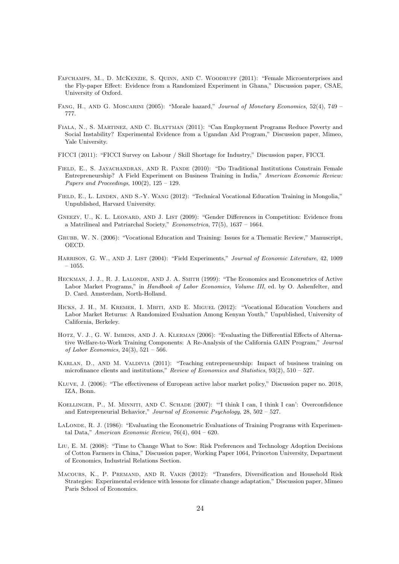- FAFCHAMPS, M., D. MCKENZIE, S. QUINN, AND C. WOODRUFF (2011): "Female Microenterprises and the Fly-paper Effect: Evidence from a Randomized Experiment in Ghana," Discussion paper, CSAE, University of Oxford.
- FANG, H., AND G. MOSCARINI (2005): "Morale hazard," Journal of Monetary Economics, 52(4), 749 777.
- Fiala, N., S. Martinez, and C. Blattman (2011): "Can Employment Programs Reduce Poverty and Social Instability? Experimental Evidence from a Ugandan Aid Program," Discussion paper, Mimeo, Yale University.
- FICCI (2011): "FICCI Survey on Labour / Skill Shortage for Industry," Discussion paper, FICCI.
- FIELD, E., S. JAYACHANDRAN, AND R. PANDE (2010): "Do Traditional Institutions Constrain Female Entrepreneurship? A Field Experiment on Business Training in India," American Economic Review: Papers and Proceedings,  $100(2)$ ,  $125 - 129$ .
- Field, E., L. Linden, and S.-Y. Wang (2012): "Technical Vocational Education Training in Mongolia," Unpublished, Harvard University.
- GNEEZY, U., K. L. LEONARD, AND J. LIST (2009): "Gender Differences in Competition: Evidence from a Matrilineal and Patriarchal Society," Econometrica, 77(5), 1637 – 1664.
- Grubb, W. N. (2006): "Vocational Education and Training: Issues for a Thematic Review," Manuscript, OECD.
- HARRISON, G. W., AND J. LIST (2004): "Field Experiments," Journal of Economic Literature, 42, 1009  $-1055.$
- HECKMAN, J. J., R. J. LALONDE, AND J. A. SMITH (1999): "The Economics and Econometrics of Active Labor Market Programs," in Handbook of Labor Economics, Volume III, ed. by O. Ashenfelter, and D. Card. Amsterdam, North-Holland.
- HICKS, J. H., M. KREMER, I. MBITI, AND E. MIGUEL (2012): "Vocational Education Vouchers and Labor Market Returns: A Randomized Evaluation Among Kenyan Youth," Unpublished, University of California, Berkeley.
- HOTZ, V. J., G. W. IMBENS, AND J. A. KLERMAN (2006): "Evaluating the Differential Effects of Alternative Welfare-to-Work Training Components: A Re-Analysis of the California GAIN Program," Journal of Labor Economics,  $24(3)$ ,  $521 - 566$ .
- Karlan, D., and M. Valdivia (2011): "Teaching entrepreneurship: Impact of business training on microfinance clients and institutions," Review of Economics and Statistics,  $93(2)$ ,  $510 - 527$ .
- Kluve, J. (2006): "The effectiveness of European active labor market policy," Discussion paper no. 2018, IZA, Bonn.
- Koellinger, P., M. Minniti, and C. Schade (2007): "'I think I can, I think I can': Overconfidence and Entrepreneurial Behavior," Journal of Economic Psychology, 28, 502 – 527.
- LALONDE, R. J. (1986): "Evaluating the Econometric Evaluations of Training Programs with Experimental Data," American Economic Review,  $76(4)$ ,  $604 - 620$ .
- Liu, E. M. (2008): "Time to Change What to Sow: Risk Preferences and Technology Adoption Decisions of Cotton Farmers in China," Discussion paper, Working Paper 1064, Princeton University, Department of Economics, Industrial Relations Section.
- Macours, K., P. Premand, and R. Vakis (2012): "Transfers, Diversification and Household Risk Strategies: Experimental evidence with lessons for climate change adaptation," Discussion paper, Mimeo Paris School of Economics.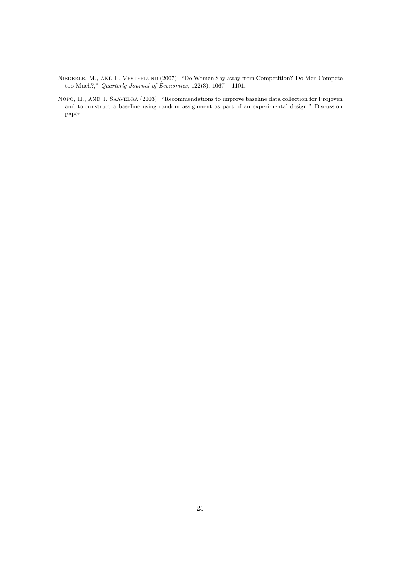- NIEDERLE, M., AND L. VESTERLUND (2007): "Do Women Shy away from Competition? Do Men Compete too Much?," Quarterly Journal of Economics, 122(3), 1067 – 1101.
- NOPO, H., AND J. SAAVEDRA (2003): "Recommendations to improve baseline data collection for Projoven and to construct a baseline using random assignment as part of an experimental design," Discussion paper.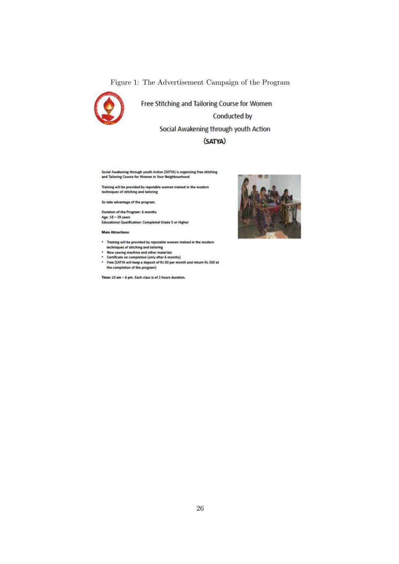Figure 1: The Advertisement Campaign of the Program



Free Stitching and Tailoring Course for Women Conducted by Social Awakening through youth Action

### (SATYA)

Social Awakening through youth Action (SATYA) is organizing free stitching<br>and Talloring Course for Women in Your Neighbourhood.

Training will be provided by reputable women trained in the modern<br>techniques of stitching and tailoring

So take advantage of the program.

Duration of the Program: 6 months Age: 18 - 39 years<br>Age: 18 - 39 years<br>Educational Qualification: Completed Grade 5 or Higher

**Main Attractions:** 

- Training will be provided by reputable women trained in the modern<br>techniques of stitching and tailoring<br>• New sewing machine and other materials<br>• Certificate on completion (only after 6 months)
	-
	-
- Free (SATYA will keep a deposit of Rs 50 per month and return Rs 350 at<br>the completion of the program)

Time: 10 am - 6 pm. Each class is of 2 hours duration.

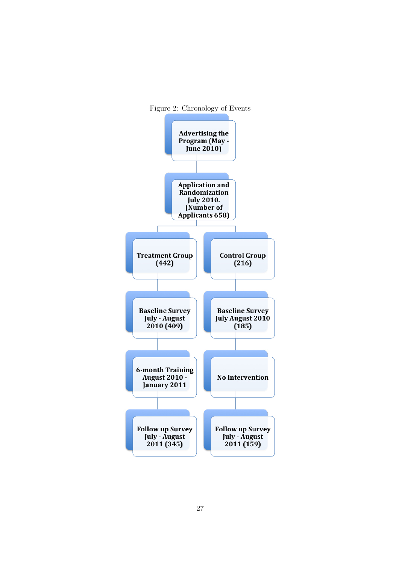

27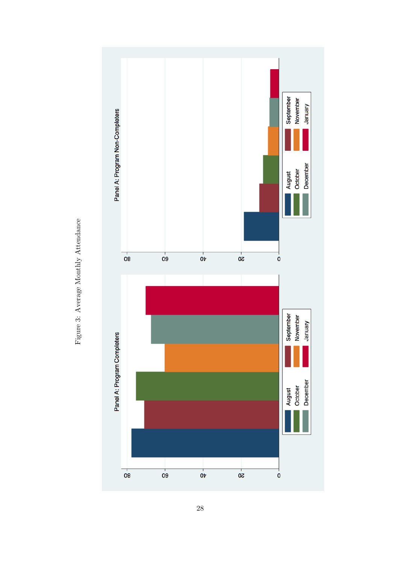

Figure 3: Average Monthly Attendance Figure 3: Average Monthly Attendance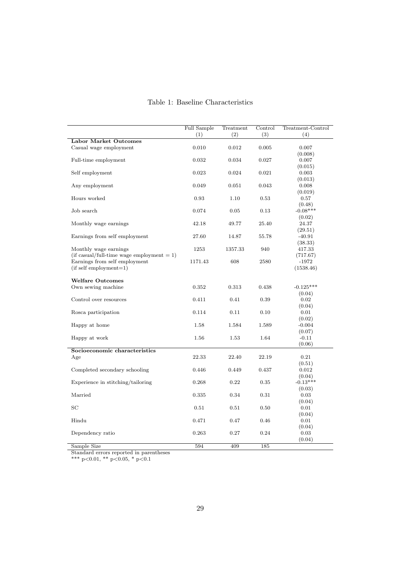|                                              | Full Sample<br>(1) | Treatment<br>(2) | Control<br>(3) | Treatment-Control<br>(4) |
|----------------------------------------------|--------------------|------------------|----------------|--------------------------|
| <b>Labor Market Outcomes</b>                 |                    |                  |                |                          |
| Casual wage employment                       | 0.010              | 0.012            | 0.005          | 0.007                    |
|                                              |                    |                  |                | (0.008)                  |
| Full-time employment                         | 0.032              | 0.034            | 0.027          | 0.007                    |
|                                              |                    |                  |                | (0.015)                  |
| Self employment                              | 0.023              | 0.024            | 0.021          | 0.003                    |
|                                              |                    |                  |                | (0.013)                  |
| Any employment                               | 0.049              | 0.051            | 0.043          | 0.008                    |
|                                              |                    |                  |                | (0.019)                  |
| Hours worked                                 | 0.93               | 1.10             | 0.53           | 0.57                     |
|                                              |                    |                  |                | (0.48)                   |
| Job search                                   | 0.074              | 0.05             | 0.13           | $-0.08***$               |
|                                              |                    |                  |                | (0.02)                   |
| Monthly wage earnings                        | 42.18              | 49.77            | 25.40          | 24.37                    |
|                                              |                    |                  |                | (29.51)                  |
| Earnings from self employment                | 27.60              | 14.87            | 55.78          | $-40.91$                 |
|                                              |                    |                  |                | (38.33)                  |
| Monthly wage earnings                        | 1253               | 1357.33          | 940            | 417.33                   |
| (if casual/full-time wage employment $= 1$ ) |                    |                  |                | (717.67)                 |
| Earnings from self employment                | 1171.43            | 608              | 2580           | $-1972$                  |
| $(if self employment=1)$                     |                    |                  |                | (1538.46)                |
| <b>Welfare Outcomes</b>                      |                    |                  |                |                          |
| Own sewing machine                           | 0.352              | 0.313            | 0.438          | $-0.125***$              |
|                                              |                    |                  |                | (0.04)                   |
| Control over resources                       | 0.411              | 0.41             | 0.39           | 0.02                     |
|                                              |                    |                  |                | (0.04)                   |
| Rosca participation                          | 0.114              | 0.11             | 0.10           | 0.01                     |
|                                              |                    |                  |                | (0.02)                   |
| Happy at home                                | 1.58               | 1.584            | 1.589          | $-0.004$                 |
|                                              |                    |                  |                | (0.07)                   |
| Happy at work                                | 1.56               | 1.53             | 1.64           | $-0.11$                  |
|                                              |                    |                  |                | (0.06)                   |
| Socioeconomic characteristics                |                    |                  |                |                          |
| Age                                          | 22.33              | 22.40            | 22.19          | 0.21                     |
|                                              |                    |                  |                | (0.51)                   |
| Completed secondary schooling                | 0.446              | 0.449            | 0.437          | 0.012                    |
|                                              |                    |                  |                | (0.04)                   |
| Experience in stitching/tailoring            | 0.268              | 0.22             | $\rm 0.35$     | $-0.13***$               |
|                                              |                    |                  |                | (0.03)                   |
| Married                                      | 0.335              | 0.34             | 0.31           | 0.03                     |
|                                              |                    |                  |                | (0.04)                   |
| SC                                           | 0.51               | 0.51             | 0.50           | 0.01                     |
|                                              |                    |                  |                | (0.04)                   |
| Hindu                                        | 0.471              | 0.47             | 0.46           | 0.01                     |
|                                              |                    |                  |                | (0.04)                   |
| Dependency ratio                             | 0.263              | 0.27             | 0.24           | 0.03                     |
|                                              |                    |                  |                | (0.04)                   |

### Table 1: Baseline Characteristics

Sample Size 594 594 409 185

Standard errors reported in parentheses

\*\*\* p<0.01, \*\* p<0.05, \* p<0.1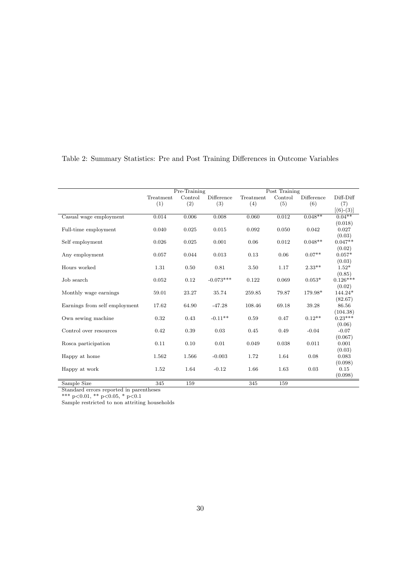|                               |           | Pre-Training |             |           | Post Training |            |                       |
|-------------------------------|-----------|--------------|-------------|-----------|---------------|------------|-----------------------|
|                               | Treatment | Control      | Difference  | Treatment | Control       | Difference | Diff-Diff             |
|                               | (1)       | (2)          | (3)         | (4)       | (5)           | (6)        | (7)                   |
|                               |           |              |             |           |               |            | $[(6)-(3)]$           |
| Casual wage employment        | 0.014     | 0.006        | 0.008       | 0.060     | 0.012         | $0.048**$  | $0.04***$             |
|                               |           |              |             |           |               |            | (0.018)               |
| Full-time employment          | 0.040     | 0.025        | 0.015       | 0.092     | 0.050         | 0.042      | 0.027                 |
|                               |           |              |             |           |               |            | (0.03)                |
| Self employment               | 0.026     | 0.025        | 0.001       | 0.06      | 0.012         | $0.048**$  | $0.047**$             |
|                               |           |              |             |           |               |            | (0.02)                |
| Any employment                | 0.057     | 0.044        | 0.013       | 0.13      | 0.06          | $0.07**$   | $0.057*$              |
|                               |           |              |             |           |               |            | (0.03)                |
| Hours worked                  | 1.31      | 0.50         | 0.81        | 3.50      | 1.17          | $2.33***$  | $1.52*$               |
|                               |           |              |             |           |               |            | (0.85)                |
| Job search                    | 0.052     | 0.12         | $-0.073***$ | 0.122     | 0.069         | $0.053*$   | $0.126***$            |
|                               |           |              |             |           |               |            | (0.02)                |
| Monthly wage earnings         | 59.01     | 23.27        | 35.74       | 259.85    | 79.87         | 179.98*    | 144.24*               |
|                               |           |              |             |           |               |            | (82.67)               |
| Earnings from self employment | 17.62     | 64.90        | $-47.28$    | 108.46    | 69.18         | 39.28      | 86.56                 |
| Own sewing machine            | 0.32      | 0.43         | $-0.11**$   | 0.59      | 0.47          | $0.12**$   | (104.38)<br>$0.23***$ |
|                               |           |              |             |           |               |            | (0.06)                |
| Control over resources        | 0.42      | 0.39         | 0.03        | 0.45      | 0.49          | $-0.04$    | $-0.07$               |
|                               |           |              |             |           |               |            | (0.067)               |
| Rosca participation           | 0.11      | 0.10         | 0.01        | 0.049     | 0.038         | 0.011      | 0.001                 |
|                               |           |              |             |           |               |            | (0.03)                |
| Happy at home                 | 1.562     | 1.566        | $-0.003$    | 1.72      | 1.64          | 0.08       | 0.083                 |
|                               |           |              |             |           |               |            | (0.098)               |
| Happy at work                 | 1.52      | 1.64         | $-0.12$     | 1.66      | 1.63          | 0.03       | 0.15                  |
|                               |           |              |             |           |               |            | (0.098)               |
| Sample Size                   | 345       | 159          |             | 345       | 159           |            |                       |

## Table 2: Summary Statistics: Pre and Post Training Differences in Outcome Variables

Standard errors reported in parentheses

\*\*\* p<0.01, \*\* p<0.05, \* p<0.1

Sample restricted to non attriting households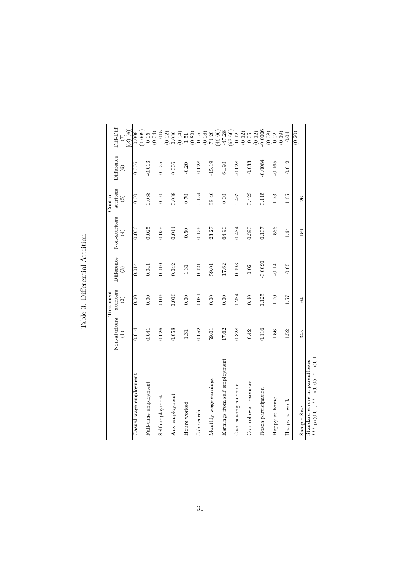|                               |                    | Treatment                  |                       |                              | Control                           |                              |                                                                 |
|-------------------------------|--------------------|----------------------------|-----------------------|------------------------------|-----------------------------------|------------------------------|-----------------------------------------------------------------|
|                               | Non-attriters<br>E | attriters<br>$\widehat{c}$ | Difference<br>$\odot$ | Non-attriters<br>$\bigoplus$ | attriters<br>$\widetilde{\Theta}$ | Difference<br>$\circledcirc$ | $Diff-Diff$<br>$(3)-(6)$<br>$\widehat{(\mathcal{I})}$           |
| Casual wage employment        | 0.014              | 0.00                       | 0.014                 | 0.006                        | 0.00                              | 0.006                        | (0.009)<br>0.008                                                |
| Full-time employment          | 0.041              | 0.00                       | 0.041                 | 0.025                        | 0.038                             | $-0.013$                     | 0.05                                                            |
| Self employment               | 0.026              | 0.016                      | 0.010                 | 0.025                        | 0.00                              | 0.025                        | $-0.015$<br>(0.04)                                              |
| Any employment                | 0.058              | 0.016                      | 0.042                 | 0.044                        | 0.038                             | 0.006                        | $\begin{array}{c} (0.02) \\ 0.036 \end{array}$                  |
| Hours worked                  | $1.31\,$           | 0.00                       | 1.31                  | 0.50                         | 0.70                              | $-0.20$                      |                                                                 |
| Job search                    | 0.052              | 0.031                      | 0.021                 | 0.126                        | 0.154                             | $-0.028$                     | $\begin{array}{c} (0.04) \\ 1.51 \\ (0.82) \\ 0.05 \end{array}$ |
| Monthly wage earnings         | 59.01              | 0.00                       | 59.01                 | 23.27                        | 38.46                             | $-15.19$                     | $(0.08)$<br>74.20                                               |
| Earnings from self employment | 17.62              | 0.00                       | 17.62                 | 64.90                        | 0.00                              | 64.90                        | $(46.06)$<br>$-47.28$                                           |
| Own sewing machine            | 0.328              | 0.234                      | 0.093                 | 0.434                        | 0.462                             | $-0.028$                     | (63.66)<br>0.12                                                 |
| Control over resources        | 0.42               | 0.40                       | 0.02                  | 0.390                        | 0.423                             | $-0.033$                     | (0.12)<br>$0.05\,$                                              |
| Rosca participation           | 0.116              | 0.125                      | $-0.0090$             | 0.107                        | 0.115                             | $-0.0084$                    | $-0.0006$<br>(0.12)                                             |
| Happy at home                 | 1.56               | $1.70\,$                   | $-0.14$               | 1.566                        | 1.73                              | $-0.165$                     | (0.08)<br>0.02                                                  |
| Happy at work                 | 1.52               | 1.57                       | $-0.05$               | 1.64                         | 1.65                              | $-0.012$                     | (0.19)<br>$-0.04$                                               |
| Sample Size                   | 345                | 64                         |                       | 159                          | 26                                |                              | (0.20)                                                          |

Table 3: Differential Attrition Table 3: Differential Attrition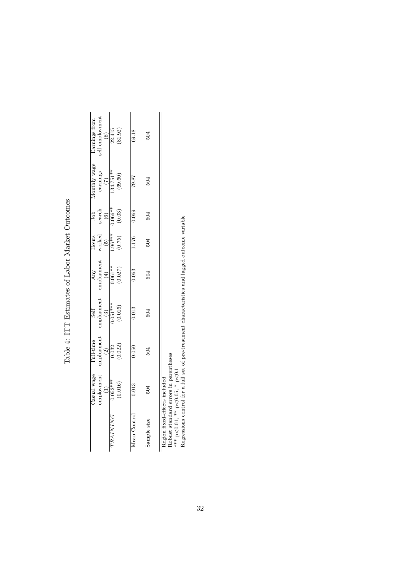|                               | Jasual wage | Full-time                                               | Self                                                           |                                                                      | Hours                                       | Job                                                              |                                                                                      | Earnings from                   |
|-------------------------------|-------------|---------------------------------------------------------|----------------------------------------------------------------|----------------------------------------------------------------------|---------------------------------------------|------------------------------------------------------------------|--------------------------------------------------------------------------------------|---------------------------------|
|                               | mployment   | $\begin{array}{c} \mbox{emplogment} \\ (2) \end{array}$ | $\begin{array}{c} \mbox{employment} \\ \mbox{(3)} \end{array}$ | $\begin{array}{c} \text{Any} \\ \text{emboyment} \\ (4) \end{array}$ | worked<br>$\begin{pmatrix} 5 \end{pmatrix}$ | search<br>$\begin{array}{c} \textcircled{\small{6}} \end{array}$ | $\begin{array}{c}\text{Monthly wage} \\ \text{earnings} \\ (\mathbf{7}) \end{array}$ | self employment                 |
| TRAINING                      | $0.052***$  | 0.32                                                    |                                                                |                                                                      |                                             |                                                                  | $134.751**$                                                                          |                                 |
|                               | (0.016)     | (0.022)                                                 | (0.016)                                                        | $(0.061**$                                                           | $^{1.96***}_{(0.75)}$                       | $\frac{0.066**}{(0.03)}$                                         | (69.60)                                                                              | $\frac{(8)}{22.415}$<br>(81.92) |
| Aean Control                  | 0.013       | 0.050                                                   | 0.013                                                          | 0.063                                                                | 1.176                                       | 0.069                                                            | 78.87                                                                                | 69.18                           |
| Sample size                   | 504         | 504                                                     | 504                                                            | 504                                                                  | 504                                         | 504                                                              | 504                                                                                  | 504                             |
| Region fixed-effects included |             |                                                         |                                                                |                                                                      |                                             |                                                                  |                                                                                      |                                 |

Table 4: ITT Estimates of Labor Market Outcomes Table 4: ITT Estimates of Labor Market Outcomes

Region fixed-effects included Robust standard errors in parentheses

\*\*\* p<0.01, \*\* p<0.05, \* p<0.1

Region insed-effects included<br>Robust standard errors in parentheses<br>\*\*\* p<0.01, \*\* p<0.05, \* p<0.1<br>Regressions control for a full set of pre-treatment characteristics and lagged outcome variable<br>Regressions control for a Regressions control for a full set of pre-treatment characteristics and lagged outcome variable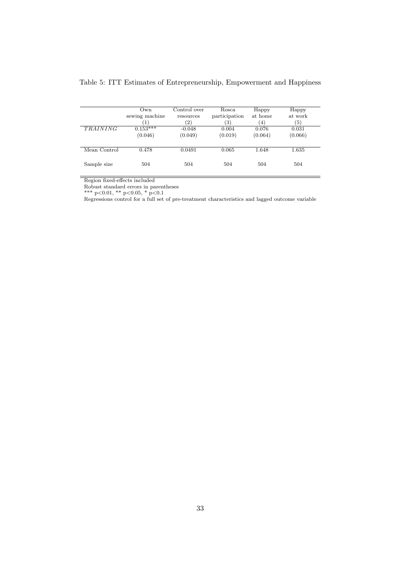| <b>TRAINING</b> | Own<br>sewing machine<br>$\left( 1\right)$<br>$0.153***$<br>(0.046) | Control over<br>resources<br>$\left( 2\right)$<br>$-0.048$<br>(0.049) | Rosca<br>participation<br>(3)<br>0.004<br>(0.019) | Happy<br>at home<br>$\left(4\right)$<br>0.076<br>(0.064) | Happy<br>at work<br>(5)<br>0.031<br>(0.066) |
|-----------------|---------------------------------------------------------------------|-----------------------------------------------------------------------|---------------------------------------------------|----------------------------------------------------------|---------------------------------------------|
| Mean Control    | 0.478                                                               | 0.0491                                                                | 0.065                                             | 1.648                                                    | 1.635                                       |
| Sample size     | 504                                                                 | 504                                                                   | 504                                               | 504                                                      | 504                                         |

## Table 5: ITT Estimates of Entrepreneurship, Empowerment and Happiness

Region fixed-effects included

Robust standard errors in parentheses

\*\*\* p<0.01, \*\* p<0.05, \* p<0.1

Regressions control for a full set of pre-treatment characteristics and lagged outcome variable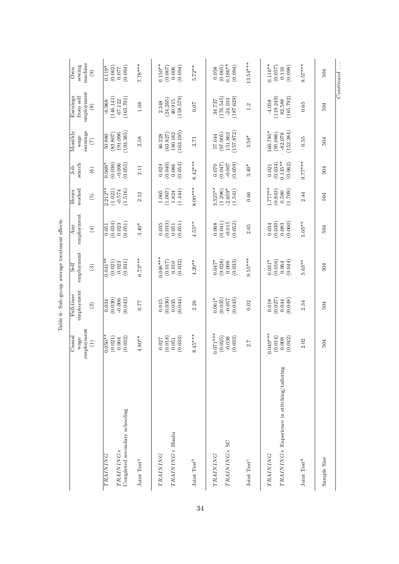|                                                                                            |                                                       |                                                    | Table 6: Sub-group average treatment effects          |                                                   |                                                      |                                                         |                                                        |                                                          |                                                            |
|--------------------------------------------------------------------------------------------|-------------------------------------------------------|----------------------------------------------------|-------------------------------------------------------|---------------------------------------------------|------------------------------------------------------|---------------------------------------------------------|--------------------------------------------------------|----------------------------------------------------------|------------------------------------------------------------|
|                                                                                            | employment<br>$\rm Casual$<br>wage<br>$\widehat{\Xi}$ | employment<br>Full-time<br>$\widehat{c}$           | employment<br>Self<br>$\widehat{\mathcal{E}}$         | employment<br>Any<br>$\bigoplus$                  | worked<br>Hours<br>$\widetilde{\Theta}$              | search<br>Job<br>$\odot$                                | Monthly<br>earnings<br>wage<br>$\widetilde{C}$         | employment<br>Earnings<br>from self<br>$\circledS$       | machine<br>sewing<br>Own<br>$\textcircled{\scriptsize{3}}$ |
| Completed secondary schooling<br>TRAINING×<br>TRAINING<br>Joint Test <sup>a</sup>          | $0.050**$<br>(0.021)<br>$4.80**$<br>(0.032)<br>0.004  | (0.030)<br>$-0.006$<br>(0.043)<br>0.034<br>0.77    | $6.73***$<br>$0.041**$<br>(0.021)<br>(0.031)<br>0.023 | (0.034)<br>(0.051)<br>0.023<br>$3.40*$<br>0.051   | $2.212**$<br>(1.021)<br>(1.516)<br>$-0.574$<br>2.12  | (0.036)<br>$0.069*$<br>(0.055)<br>2.11                  | 193.385<br>191.096<br>(83.807)<br>50.880<br>2.58       | (146.141)<br>(165.701)<br>$-6.968$<br>67.122<br>$1.08\,$ | $7.78***$<br>$0.119*$<br>(0.062)<br>(0.094)<br>0.077       |
| TRAINING× Hindu<br>TRAINING<br>Joint Test <sup>b</sup>                                     | $8.45***$<br>(0.018)<br>(0.033)<br>0.027<br>0.051     | (0.030)<br>(0.044)<br>0.015<br>0.035<br>2.26       | $0.046***$<br>(0.017)<br>$4.20**$<br>(0.032)<br>0.010 | $4.55***$<br>(0.033)<br>(0.051)<br>0.035<br>0.051 | $8.00***$<br>(1.444)<br>(1.067)<br>1.824<br>1.065    | $8.42***$<br>(0.040)<br>$(0.086)$<br>$(0.053)$<br>0.024 | 163.195<br>180.182<br>(63.827)<br>46.228<br>2.71       | (158.579)<br>(24.265)<br>40.915<br>2.348<br>0.07         | $0.150**$<br>$5.72**$<br>(0.067)<br>(0.006)                |
| TRAINING×SC<br>TRAINING<br>Joint Test <sup>c</sup>                                         | $0.071***$<br>(0.025)<br>(0.033)<br>$-0.038$<br>2.7   | $0.061*$<br>(0.035)<br>(0.043)<br>$-0.057$<br>0.02 | $9.55***$<br>$0.047*$<br>(0.028)<br>(0.033)<br>0.008  | $-0.015$<br>(0.052)<br>(0.041)<br>0.068<br>$2.65$ | $3.325**$<br>$-2.659*$<br>(1.296)<br>(1.541)<br>0.66 | (0.050)<br>(740.0)<br>$3.40*$<br>0.070                  | 157.872<br>(97.905)<br>151.862<br>57.044<br>$3.58*$    | (176.545)<br>(187.629)<br>$-24.103$<br>34.737<br>1.2     | $13.54***$<br>$0.186**$<br>(0.094)<br>(0.065)<br>0.058     |
| $TRAINING \times$ Experience in stitching/tailoring<br>TRAINING<br>Joint Test <sup>d</sup> | $0.049***$<br>(0.014)<br>(0.042)<br>0.008<br>2.02     | (0.027)<br>(0.048)<br>$0.018\,$<br>0.044<br>2.34   | $0.031*$<br>(0.016)<br>(0.044)<br>$5.63**$<br>0.064   | (0.030)<br>(0.060)<br>$5.05**$<br>0.083<br>0.034  | $1.777**$<br>(0.843)<br>(1.709)<br>0.580<br>2.44     | $9.77***$<br>$0.145**$<br>(0.034)<br>(0.062)<br>0.021   | $160.785*$<br>152.384<br>(95.086)<br>$-82.078$<br>0.55 | (119.249)<br>(165.792)<br>82.588<br>$-4.058$<br>0.65     | $0.116**$<br>$8.57***$<br>(0.057)<br>(0.098)<br>0.116      |
| Sample Size                                                                                | 504                                                   | 504                                                | 504                                                   | 504                                               | 504                                                  | 504                                                     | 504                                                    | 504                                                      | $Continued \dots$<br>504                                   |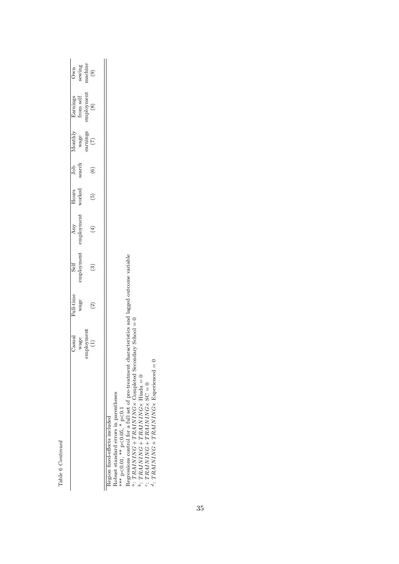Table 6 Continued Table 6 Continued

|                                                                                                                                                                                                                                                                                                                                                                                                              | Casual<br>wage           | Full-time<br>wage | employment<br>Self | employment<br>Any | worked<br>Hours | dop<br>search | Monthly<br>wage<br>earnings | Earnings<br>from self<br>employment | sewing<br>machine<br>Own               |
|--------------------------------------------------------------------------------------------------------------------------------------------------------------------------------------------------------------------------------------------------------------------------------------------------------------------------------------------------------------------------------------------------------------|--------------------------|-------------------|--------------------|-------------------|-----------------|---------------|-----------------------------|-------------------------------------|----------------------------------------|
|                                                                                                                                                                                                                                                                                                                                                                                                              | employment               |                   |                    |                   | $\widehat{5}$   |               | $\left( 7\right)$           | $\left(8\right)$                    | $\begin{pmatrix} 0 \\ 0 \end{pmatrix}$ |
| Regressions control for a full set of pre-treatment characteristics and lagged outcome variable<br>a: TRAINING + TRAINING × Completed Second<br>d: TRAINING + TRAINING × Experienced = 0<br>$b$ : TRAINING + TRAINING × Hindu = 0<br>$\cdot$ : TRAINING + TRAINING $\times$ SC = 0<br>Robust standard errors in parentheses<br>*** $p < 0.01$ , ** $p < 0.05$ , * $p < 0.1$<br>Region fixed-effects included | $\text{dary School} = 0$ |                   |                    |                   |                 |               |                             |                                     |                                        |

c:  $TRAINING + TRAINING \times SC = 0$ d:  $TRAINING + TRAINING \times Experienced = 0$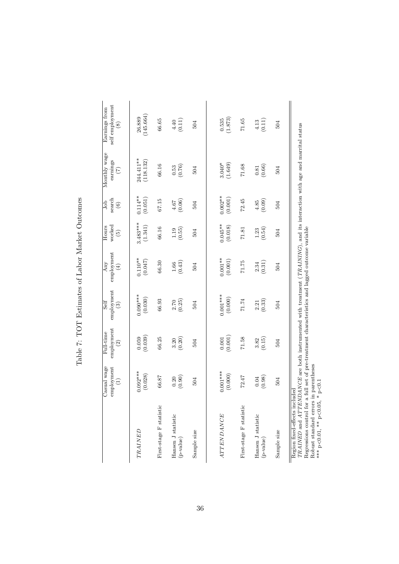|                                                                                                                                                                                                                                                                 | Casual wage<br>employment<br>Ξ | employment<br>Full-time<br>$\odot$                                    | employment<br>Self<br>$\widehat{S}$           | employment<br>Any<br>$\widehat{E}$ | worked<br>Hours<br>$\widetilde{\Theta}$ | search<br>Job<br>$\odot$ | Monthly wage<br>earnings<br>$\widetilde{(\mathbf{1})}$ | self employment<br>Earnings from<br>$\circled{s}$ |
|-----------------------------------------------------------------------------------------------------------------------------------------------------------------------------------------------------------------------------------------------------------------|--------------------------------|-----------------------------------------------------------------------|-----------------------------------------------|------------------------------------|-----------------------------------------|--------------------------|--------------------------------------------------------|---------------------------------------------------|
| TRAINED                                                                                                                                                                                                                                                         | $0.092***$<br>(0.028)          | (0.059)                                                               | $0.090***$<br>(0.030)                         | $0.110**$<br>(0.047)               | $3.483***$<br>(1.341)                   | $0.114***$<br>(0.051)    | 244.411**<br>(118.132)                                 | (145.664)<br>26.889                               |
| First-stage F statistic                                                                                                                                                                                                                                         | 66.87                          | 66.25                                                                 | 66.93                                         | 66.30                              | 66.16                                   | 67.15                    | 66.16                                                  | 66.65                                             |
| Hansen J statistic<br>(p-value)                                                                                                                                                                                                                                 | (0.30)                         | (0.20)<br>3.20                                                        | $\frac{2.70}{(0.25)}$                         | $\frac{1.66}{(0.43)}$              | (0.55)                                  | (0.06)                   | $\frac{0.53}{(0.76)}$                                  | (0.11)                                            |
| Sample size                                                                                                                                                                                                                                                     | 504                            | 504                                                                   | 504                                           | 504                                | 504                                     | 504                      | 504                                                    | 504                                               |
|                                                                                                                                                                                                                                                                 |                                |                                                                       |                                               |                                    |                                         |                          |                                                        |                                                   |
| <b>ATTENDANCE</b>                                                                                                                                                                                                                                               | $0.001***$<br>(0.000)          | $\begin{array}{c} 0.001 \\ 0.001 \end{array}$                         | $0.001***$<br>(0.000)                         | $0.001***$<br>(0.001)              | $0.045**$<br>(0.018)                    | $0.002***$<br>(0.001)    | $3.040*$<br>(1.649)                                    | $\frac{0.535}{(1.873)}$                           |
| First-stage F statistic                                                                                                                                                                                                                                         | 72.47                          | 71.58                                                                 | 71.74                                         | 71.75                              | 71.81                                   | 72.45                    | 71.68                                                  | 71.65                                             |
| Hansen J statistic<br>(p-value)                                                                                                                                                                                                                                 | (0.98)<br>$0.04\,$             | (0.15)<br>3.82                                                        | $\begin{array}{c} 2.21 \\ (0.33) \end{array}$ | (0.31)<br>$\!2.34$                 | $\frac{1.23}{(0.54)}$                   | (60.00)                  | $\frac{0.81}{(0.66)}$                                  | (0.11)                                            |
| Sample size                                                                                                                                                                                                                                                     | 504                            | 504                                                                   | 504                                           | 504                                | 504                                     | 504                      | 504                                                    | 504                                               |
| TRAINED and ATTENDANCE are both instrumented with treatment (TRAINING), and its interaction with age and marrital status<br>Robust standard errors in parentheses<br>Region fixed-effects included<br>Regressions control for a<br>*** $p<0.01$ , ** $p<0.05$ , | $p<0.1$<br>$\ast$              | full set of pre-treatment characteristics and lagged outcome variable |                                               |                                    |                                         |                          |                                                        |                                                   |

Table 7: TOT Estimates of Labor Market Outcomes Table 7: TOT Estimates of Labor Market Outcomes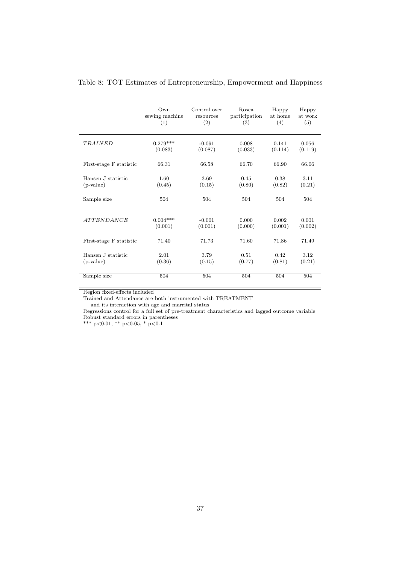|                         | Own            | Control over | Rosca         | Happy   | Happy   |
|-------------------------|----------------|--------------|---------------|---------|---------|
|                         | sewing machine | resources    | participation | at home | at work |
|                         | (1)            | (2)          | (3)           | (4)     | (5)     |
| TRAINED                 | $0.279***$     | $-0.091$     | 0.008         | 0.141   | 0.056   |
|                         | (0.083)        | (0.087)      | (0.033)       | (0.114) | (0.119) |
| First-stage F statistic | 66.31          | 66.58        | 66.70         | 66.90   | 66.06   |
| Hansen J statistic      | 1.60           | 3.69         | 0.45          | 0.38    | 3.11    |
| $(p-value)$             | (0.45)         | (0.15)       | (0.80)        | (0.82)  | (0.21)  |
| Sample size             | 504            | 504          | 504           | 504     | 504     |
| <i>ATTENDANCE</i>       | $0.004***$     | $-0.001$     | 0.000         | 0.002   | 0.001   |
|                         | (0.001)        | (0.001)      | (0.000)       | (0.001) | (0.002) |
| First-stage F statistic | 71.40          | 71.73        | 71.60         | 71.86   | 71.49   |
| Hansen J statistic      | 2.01           | 3.79         | 0.51          | 0.42    | 3.12    |
| (p-value)               | (0.36)         | (0.15)       | (0.77)        | (0.81)  | (0.21)  |
| Sample size             | 504            | 504          | 504           | 504     | 504     |

### Table 8: TOT Estimates of Entrepreneurship, Empowerment and Happiness

Region fixed-effects included

Trained and Attendance are both instrumented with TREATMENT

and its interaction with age and marrital status

Regressions control for a full set of pre-treatment characteristics and lagged outcome variable Robust standard errors in parentheses

\*\*\* p<0.01, \*\* p<0.05, \* p<0.1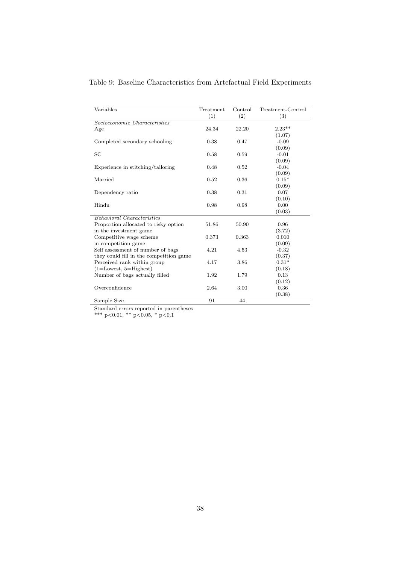| Variables                               | Treatment | Control | Treatment-Control |
|-----------------------------------------|-----------|---------|-------------------|
|                                         | (1)       | (2)     | (3)               |
| Socioeconomic Characteristics           |           |         |                   |
| Age                                     | 24.34     | 22.20   | $2.23**$          |
|                                         |           |         | (1.07)            |
| Completed secondary schooling           | 0.38      | 0.47    | $-0.09$           |
|                                         |           |         | (0.09)            |
| SC                                      | 0.58      | 0.59    | $-0.01$           |
|                                         |           |         | (0.09)            |
| Experience in stitching/tailoring       | 0.48      | 0.52    | $-0.04$           |
|                                         |           |         | (0.09)            |
| Married                                 | 0.52      | 0.36    | $0.15*$           |
|                                         |           |         | (0.09)            |
| Dependency ratio                        | 0.38      | 0.31    | 0.07              |
|                                         |           |         | (0.10)            |
| Hindu                                   | 0.98      | 0.98    | 0.00              |
|                                         |           |         | (0.03)            |
| Behavioral Characteristics              |           |         |                   |
| Proportion allocated to risky option    | 51.86     | 50.90   | 0.96              |
| in the investment game                  |           |         | (3.72)            |
| Competitive wage scheme                 | 0.373     | 0.363   | 0.010             |
| in competition game                     |           |         | (0.09)            |
| Self assessment of number of bags       | 4.21      | 4.53    | $-0.32$           |
| they could fill in the competition game |           |         | (0.37)            |
| Perceived rank within group             | 4.17      | 3.86    | $0.31*$           |
| $(1=Lower, 5=Higher)$                   |           |         | (0.18)            |
| Number of bags actually filled          | 1.92      | 1.79    | 0.13              |
|                                         |           |         | (0.12)            |
| Overconfidence                          | 2.64      | 3.00    | 0.36              |
|                                         |           |         | (0.38)            |
| Sample Size                             | 91        | 44      |                   |

Table 9: Baseline Characteristics from Artefactual Field Experiments

Standard errors reported in parentheses

\*\*\* p<0.01, \*\* p<0.05, \* p<0.1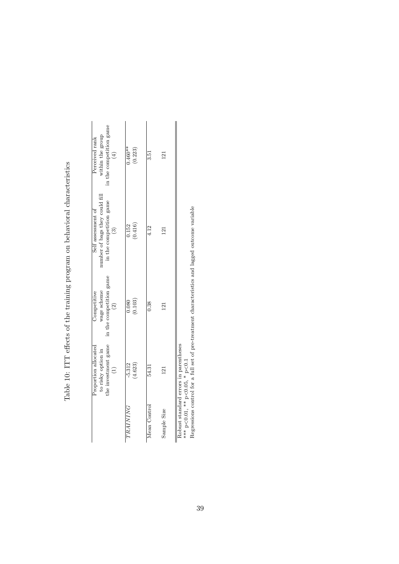|              | the investment game<br>Proportion allocated<br>to risky option in<br>$\begin{pmatrix} 1 \end{pmatrix}$ | in the competition game<br>wage scheme<br>Competitive<br>$\widehat{c}$ | number of bags they could fill<br>in the competition game<br>Self assessment of<br>$\binom{3}{2}$ | in the competition game<br>within the group<br>Perceived rank<br>(4) |
|--------------|--------------------------------------------------------------------------------------------------------|------------------------------------------------------------------------|---------------------------------------------------------------------------------------------------|----------------------------------------------------------------------|
| TRAINING     | (4.623)<br>$-5.312$                                                                                    | (0.103)<br>0.080                                                       | (0.416)<br>0.152                                                                                  | $0.460**$<br>(0.223)                                                 |
| Mean Control | 54.31                                                                                                  | 0.38                                                                   | 4.12                                                                                              | 3.51                                                                 |
| Sample Size  | <b>21</b>                                                                                              | 121                                                                    | 121                                                                                               | 121                                                                  |
|              | Robust standard errors in parentheses<br>r C、 シ A LC C、 シャナ F C C、 シャナ                                 |                                                                        |                                                                                                   |                                                                      |

Table 10: ITT effects of the training program on behavioral characteristics Table 10: ITT effects of the training program on behavioral characteristics

 $\mathbb{R}^*$  $<$  0.01,  $**$  p.  $< 0.05, * p.$  $\overline{\textrm{c}}$ Regressions control for a full set of pre-treatment characteristics and lagged outcome variable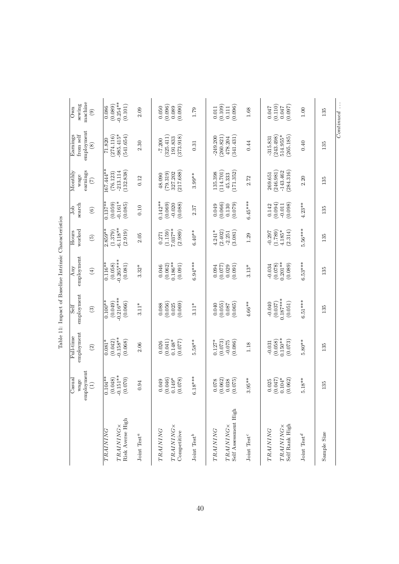|                                                                                  | ployment<br>$\rm Casual$<br>wage<br>$\widehat{\Xi}$<br>E | employment<br>Full-time<br>$\widehat{c}$                | employment<br>Self<br>$\odot$                             | employment<br>Any<br>$\bigoplus$                          | worked<br>Hours<br>$\widetilde{5}$                      | search<br>Job<br>$\odot$                            | Monthly<br>earnings<br>wage<br>$\mathfrak{S}$          | employment<br>Earnings<br>from self<br>$\circledast$  | machine<br>sewing<br>Own<br>$\circledcirc$       |
|----------------------------------------------------------------------------------|----------------------------------------------------------|---------------------------------------------------------|-----------------------------------------------------------|-----------------------------------------------------------|---------------------------------------------------------|-----------------------------------------------------|--------------------------------------------------------|-------------------------------------------------------|--------------------------------------------------|
| Risk Averse High<br><b>TRAINING</b> ×<br>TRAINING                                | $0.151***$<br>$0.104**$<br>(0.048)<br>(0.070)            | $-0.158**$<br>$0.081*$<br>(0.042)<br>(0.068)            | $-0.216***$<br>$0.100**$<br>(0.049)<br>(0.066)            | $-0.265***$<br>$0.116**$<br>(0.058)<br>(0.081)            | $-6.118**$<br>$2.859**$<br>(1.379)<br>(2.919)           | $0.137**$<br>$-0.161*$<br>(0.059)<br>(0.085)        | $167.444**$<br>132.838)<br>$-213.114$<br>(76.123)      | $.985.415*$<br>541.654)<br>274.116<br>71.820          | $-0.254***$<br>(0.089)<br>(0.101)<br>0.086       |
| Joint Test <sup>a</sup>                                                          | 0.94                                                     | 2.06                                                    | $3.11*$                                                   | $3.32*$                                                   | 2.05                                                    | 0.10                                                | 0.12                                                   | 2.30                                                  | 2.09                                             |
| <b>TRAINING</b> ×<br>TRAINING<br>Competitive<br>Joint Test <sup>b</sup>          | $6.18***$<br>$0.149*$<br>(0.046)<br>(0.078)<br>0.049     | $0.148*$<br>$5.58**$<br>(0.041)<br>(770.077)<br>0.026   | (0.056)<br>(0.069)<br>0.088<br>$3.11*$<br>0.025           | $6.94***$<br>$0.186***$<br>(0.062)<br>(0.091)<br>0.046    | $7.037**$<br>(1.159)<br>$6.40***$<br>(2.989)<br>0.271   | $0.142**$<br>(0.069)<br>(0.088)<br>$-0.020$<br>2.37 | 217.688)<br>(615.67)<br>327.202<br>48.090<br>$3.99***$ | 373.918)<br>325.411)<br>191.833<br>$-7.200$<br>0.31   | (0.096)<br>(0.090)<br>0.050<br>0.089<br>1.79     |
| Self Assessment High<br><b>TRAINING</b> ×<br>TRAINING<br>Joint $\mathrm{Test}^c$ | $3.95**$<br>(0.062)<br>(0.075)<br>0.038<br>0.078         | (0.073)<br>$0.127*$<br>(0.086)<br>$-0.075$<br>1.18      | (0.055)<br>$4.66***$<br>(0.065)<br>0.040<br>0.087         | $(0.077)$<br>0.029<br>(0.091)<br>0.094<br>$3.13*$         | $4.241*$<br>(2.402)<br>(3.081)<br>$-2.251$<br>1.29      | $6.45***$<br>(0.066)<br>(0.079)<br>0.049<br>0.130   | 114.701<br>171.352<br>135.398<br>45.333<br>2.72        | 249.200<br>260.821<br>341.431)<br>478.204<br>0.44     | (0.096)<br>(0.109)<br>0.011<br>0.111<br>1.68     |
| Self Rank High<br><b>TRAINING</b> ×<br>TRAINING<br>Joint Test <sup>d</sup>       | $0.104*$<br>$5.18**$<br>(0.047)<br>(0.062)<br>0.025      | $0.150**$<br>(0.058)<br>(0.073)<br>$5.80**$<br>$-0.031$ | $0.187***$<br>$6.51***$<br>(0.051)<br>(0.037)<br>$-0.040$ | $0.201***$<br>$6.53***$<br>(0.078)<br>$-0.034$<br>(0.089) | $5.56***$<br>(1.789)<br>$4.185*$<br>(2.314)<br>$-0.297$ | (0.094)<br>$4.23**$<br>(0.098)<br>$-0.011$<br>0.142 | 246.981)<br>$-143.462$<br>284.316)<br>269.651<br>2.20  | 514.955*<br>243.498)<br>265.185<br>$-315.831$<br>0.40 | (0.110)<br>(760.0)<br>0.047<br>0.047<br>$1.00\,$ |
| Sample Size                                                                      | 135                                                      | 135                                                     | 135                                                       | 135                                                       | 135                                                     | 135                                                 | 135                                                    | 135                                                   | 135                                              |
|                                                                                  |                                                          |                                                         |                                                           |                                                           |                                                         |                                                     |                                                        |                                                       | Continued                                        |

Table 11: Impact of Baseline Intrinsic Characteristics Table 11: Impact of Baseline Intrinsic Characteristics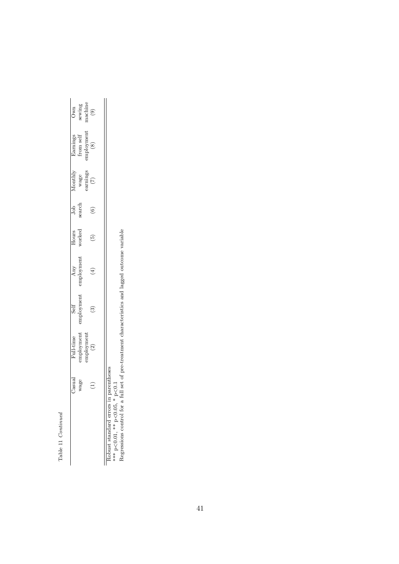Table 11 Continued Table 11 Continued

|               |                         |          | $\begin{array}{c} \text{Own} \\ \text{sewing} \\ \text{machine} \\ \text{(9)} \end{array}$ |  |
|---------------|-------------------------|----------|--------------------------------------------------------------------------------------------|--|
|               |                         |          | Earnings<br>from self<br>mployment<br>(8)                                                  |  |
| Ionth).       | wage<br>earnings<br>(7) |          |                                                                                            |  |
| Job<br>search |                         |          | ⊙                                                                                          |  |
|               | vorked                  |          | <u>ໂຕ</u>                                                                                  |  |
|               | Any<br>mployment        |          | $\overline{A}$                                                                             |  |
|               | mploymen                |          | ္က                                                                                         |  |
|               | mployment               | mploymen | $\tilde{\mathcal{C}}$                                                                      |  |
| asua          | wage                    |          | F<br>í                                                                                     |  |
|               |                         |          |                                                                                            |  |

Robust standard errors in parentheses

\*\*\* p<0.01, \*\* p<0.05, \* p<0.1

Robust standard errors in parentheses<br>\*\*\* p<0.01, \*\* p<0.05, \* p<0.1<br>Regressions control for a full set of pre-treatment characteristics and lagged outcome variable Regressions control for a full set of pre-treatment characteristics and lagged outcome variable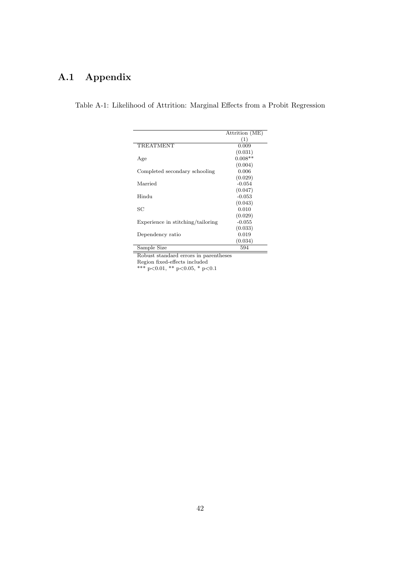# A.1 Appendix

| Table A-1: Likelihood of Attrition: Marginal Effects from a Probit Regression |  |  |
|-------------------------------------------------------------------------------|--|--|
|-------------------------------------------------------------------------------|--|--|

|                                   | Attrition (ME) |
|-----------------------------------|----------------|
|                                   | (1)            |
| <b>TREATMENT</b>                  | 0.009          |
|                                   | (0.031)        |
| Age                               | $0.008**$      |
|                                   | (0.004)        |
| Completed secondary schooling     | 0.006          |
|                                   | (0.029)        |
| Married                           | $-0.054$       |
|                                   | (0.047)        |
| Hindu                             | $-0.053$       |
|                                   | (0.043)        |
| SС                                | 0.010          |
|                                   | (0.029)        |
| Experience in stitching/tailoring | $-0.055$       |
|                                   | (0.033)        |
| Dependency ratio                  | 0.019          |
|                                   | (0.034)        |
| Sample Size                       | 594            |

Robust standard errors in parentheses

Region fixed-effects included

\*\*\* p<0.01, \*\* p<0.05, \* p<0.1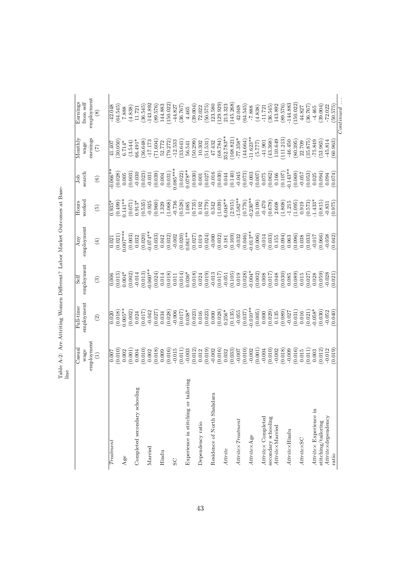|                                      | lme                |            |            |              |                 |                         |                         |                                          |
|--------------------------------------|--------------------|------------|------------|--------------|-----------------|-------------------------|-------------------------|------------------------------------------|
|                                      | $\rm Casual$       | Full-time  | Self       | $_{\rm Any}$ | Hours           | $_{\rm{Job}}$           | Monthly                 | Earnings                                 |
|                                      | employment<br>wage | employment | employment | employment   | worked          | search                  | earnings<br>wage        | employment<br>from $\operatorname{self}$ |
|                                      | $\widehat{\Xi}$    | $\odot$    | $\odot$    | $\bigoplus$  | $\widetilde{5}$ | $\odot$                 | $\widehat{C}$           | $\circledast$                            |
| Treatment                            | 0.007              | 0.020      | 0.006      | 0.021        | $0.935*$        | $0.066*$                | 41.407                  | 42.048                                   |
|                                      | (0.010)            | (0.018)    | (0.015)    | (0.021)      | (0.499)         | (0.028)                 | (30.050)                | 64.545                                   |
| Age                                  | 0.002              | $0.005**$  | $0.004*$   | $0.007***$   | $0.141***$      | 0.005                   | $6.714*$                | 7.888                                    |
|                                      | (0.001)            | (0.002)    | (0.002)    | (0.003)      | (0.071)         | (0.003)                 | (3.544)                 | (4.838)                                  |
| Completed secondary schooling        | 0.004              | 0.024      | $-0.014$   | 0.032        | $0.913*$        | $-0.030$                | $66.491*$               | 11.721                                   |
|                                      | (0.010)            | (0.017)    | (0.013)    | (0.020)      | (0.535)         | (0.023)                 | (36.648)                | (36.545)                                 |
| Married                              | 0.002              | $-0.042$   | $0.060**$  | $-0.074**$   | $-0.925$        | $-0.031$                | $-17.173$               | $-143.892$                               |
|                                      | (0.018)            | (0.027)    | (0.024)    | (0.033)      | (0.960)         | (0.039)                 | (71.604)                | (89.576)                                 |
| Hindu                                | 0.009              | 0.034      | 0.014      | 0.042        | 1.329           | 0.004                   | 52.772                  | 144.883                                  |
|                                      | (0.016)            | (0.028)    | (0.018)    | (0.032)      | (1.068)         | $(0.031)$<br>$0.085***$ | (79.272)                | 150.022                                  |
| SC                                   | $-0.015$           | $-0.006$   | 0.011      | $-0.002$     | $-0.736$        |                         | $-12.533$               | $-44.827$                                |
|                                      | (0.011)            | (0.017)    | (0.014)    | (0.020)      | (0.528)         | (0.022)                 | (33.641)                | (36.767)                                 |
| Experience in stitching or tailoring | $-0.003$           | $0.038*$   | $0.036*$   | $0.061**$    | 1.085           | $0.078**$               | 56.541                  | 4.465                                    |
|                                      | (0.012)            | (0.023)    | (0.018)    | (0.027)      | (0.735)         | (0.030)                 | (50.299)                | (39.004)                                 |
| Dependency ratio                     | 0.012              | 0.016      | 0.024      | 0.019        | 0.192           | 0.001                   | 10.302                  | 72.022                                   |
|                                      | (0.019)            | (0.023)    | (0.019)    | (0.024)      | (0.779)         | (0.027)                 | (51.531)                | (50.575)                                 |
| Residence of North Shahdara          | $-0.002$           | 0.000      | $-0.013$   | $-0.000$     | 0.342           | $-0.016$                | 47.432                  | 123.580                                  |
|                                      | (0.016)            | (0.028)    | (0.017)    | (0.032)      | (1.039)         | (0.030)                 | $(68.784)$<br>352.783** | 129.929)                                 |
| Attrite                              | 0.032              | $0.256*$   | $-0.051$   | 0.181        | $6.048**$       | 0.044                   |                         | 213.323                                  |
|                                      | (0.033)            | (0.135)    | (0.105)    | (0.169)      | (2.915)         | (0.140)                 | (168.821)               | 145.268                                  |
| $Atrite\times Treatment$             | $-0.007$           | $-0.055$   | 0.019      | $-0.032$     | $-1.582**$      | $-0.045$                | $-77.358*$              | 42.048                                   |
|                                      | (0.010)            | (0.037)    | (0.028)    | (0.046)      | (0.776)         | (0.073)                 | (44.664)                | (64.545)                                 |
| Attritex Age                         | $-0.002$           | $-0.010**$ | $-0.004*$  | $-0.013**$   | $-0.230**$      | $-0.003$                | $-11.623**$             | $-7.888$                                 |
|                                      | (0.001)            | (0.005)    | (0.002)    | (0.006)      | (0.109)         | $(0.007)$<br>0.075      | (5.777)                 | (4.838)                                  |
| Attritex Completed                   | $-0.004$           | 0.000      | 0.008      | $-0.014$     | $-0.470$        |                         | $-41.901$               | $-11.721$                                |
| secondary schooling                  | (0.010)            | (0.029)    | (0.017)    | (0.033)      | (0.678)         | (0.062)                 | (43.368)                | (36.545)                                 |
| Attritex Married                     | $-0.002$           | 0.135      | 0.048      | 0.155        | 2.608           | 0.166                   | 110.649                 | 143.892                                  |
|                                      | (0.018)            | (0.089)    | (0.030)    | (0.094)      | (1.808)         | (0.107)                 | (111.213)               | (89.576)                                 |
| Attritex Hindu                       | $-0.009$           | $-0.027$   | 0.085      | 0.063        | $-1.215$        | $0.143**$               | $-46.450$               | $-144.883$                               |
|                                      | (0.016)            | (0.031)    | (680)      | (0.096)      | (1.095)         | (0.069)                 | (80.395)                | 150.022)                                 |
| <b>AttritexSC</b>                    | 0.015              | 0.016      | 0.015      | 0.038        | 0.919           | $-0.057$                | 22.709                  | 44.827                                   |
|                                      | (0.011)            | (0.021)    | (0.027)    | (0.033)      | (0.573)         | (0.053)                 | (35.875)                | (36.767)                                 |
| Attritex Experience in               | 0.003              | $-0.058*$  | 0.028      | $-0.017$     | $-1.433*$       | 0.025                   | $-75.849$               | $-4.465$                                 |
| stitching/tailoring                  | (0.012)            | (0.030)    | (0.059)    | (0.066)      | (0.815)         | (0.094)                 | (53.965)                | (39.004)                                 |
| Attritex dependency                  | $-0.012$           | $-0.052$   | $-0.028$   | $-0.058$     | $-0.831$        | 0.094                   | $-45.814$               | $-72.022$                                |
| ratio                                | (0.019)            | (0.040)    | (0.021)    | (0.042)      | (0.975)         | (0.074)                 | (60.963)                | (50.575)                                 |
|                                      |                    |            |            |              |                 |                         |                         | $Continued \ldots$                       |

Table A-2: Are Attriting Women Different? Labor Market Outcomes at Base-Table A-2: Are Attriting Women Different? Labor Market Outcomes at Basenian.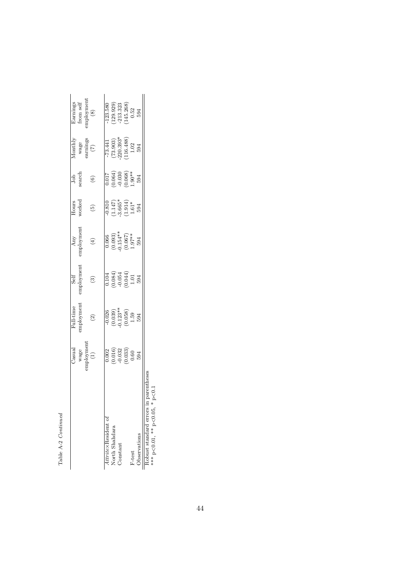| í,     |  |
|--------|--|
| í<br>٠ |  |

|                                                                       | Jasual                                                                            | Full-time<br>employment                                                                  | $\overline{\text{Self}}$ employment                                             | $\begin{array}{c} \text{Any} \\ \text{emplogment} \end{array}$                                            | Hours<br>worked                                                                 | Job<br>search                                                                                 | $\frac{1}{\sqrt{2}}$<br>wage<br>arnings<br>(7)                                             | $\begin{array}{c} \text{Earning} \\ \text{from self} \\ \text{maplogment} \\ \end{array}$ |
|-----------------------------------------------------------------------|-----------------------------------------------------------------------------------|------------------------------------------------------------------------------------------|---------------------------------------------------------------------------------|-----------------------------------------------------------------------------------------------------------|---------------------------------------------------------------------------------|-----------------------------------------------------------------------------------------------|--------------------------------------------------------------------------------------------|-------------------------------------------------------------------------------------------|
|                                                                       | $\begin{array}{c} \text{wage} \\ \text{implogment} \end{array}$                   | $\widehat{c}$                                                                            | $\odot$                                                                         | $\tag{4}$                                                                                                 | $\widehat{E}$                                                                   | $\odot$                                                                                       |                                                                                            |                                                                                           |
| Attritex Resident of                                                  |                                                                                   |                                                                                          |                                                                                 |                                                                                                           |                                                                                 |                                                                                               |                                                                                            | 123.580                                                                                   |
| North Shahdara                                                        |                                                                                   |                                                                                          |                                                                                 |                                                                                                           |                                                                                 |                                                                                               |                                                                                            |                                                                                           |
| Constant                                                              |                                                                                   |                                                                                          |                                                                                 |                                                                                                           |                                                                                 |                                                                                               |                                                                                            |                                                                                           |
|                                                                       | $\begin{array}{c} 0.002\ 0.016) \ 0.032\ 0.032\ 0.033) \ 0.60\ 0.594 \end{array}$ | $\begin{array}{c} -0.026 \\ (0.039) \\ 0.123^{**} \\ (0.058) \\ 1.59 \\ 594 \end{array}$ | $\begin{array}{c} 0.104 \\ 0.084) \\ -0.054 \\ 1.01 \\ 1.01 \\ 594 \end{array}$ | $\begin{array}{c} 0.066 \\ (0.093) \\ (0.154^{**} \\ (0.067) \\ (0.067) \\ 1.97^{**} \\ 1.94 \end{array}$ | $-0.810$<br>$(1.147)$<br>$3.665*$<br>$(1.914)$<br>$1.61*$<br>$1.61*$<br>$1.61*$ | $\begin{array}{l} 0.017\ 0.064) \ -0.030\ 0.068) \ 0.068) \ 1.90^{**} \ 1.90^{*} \end{array}$ | $\begin{array}{l} -73.441 \\ (73.903) \\ 220.393^* \\ 116.488) \\ 1.02 \\ 594 \end{array}$ | $\begin{array}{c} (129.929) \\ -213.323 \\ 145.268) \\ 0.52 \\ 594 \end{array}$           |
| F-test                                                                |                                                                                   |                                                                                          |                                                                                 |                                                                                                           |                                                                                 |                                                                                               |                                                                                            |                                                                                           |
| Observations                                                          |                                                                                   |                                                                                          |                                                                                 |                                                                                                           |                                                                                 |                                                                                               |                                                                                            |                                                                                           |
| Robust standard errors in parentheses<br>*** p<0.01, ** p<0.05, * p<0 |                                                                                   |                                                                                          |                                                                                 |                                                                                                           |                                                                                 |                                                                                               |                                                                                            |                                                                                           |